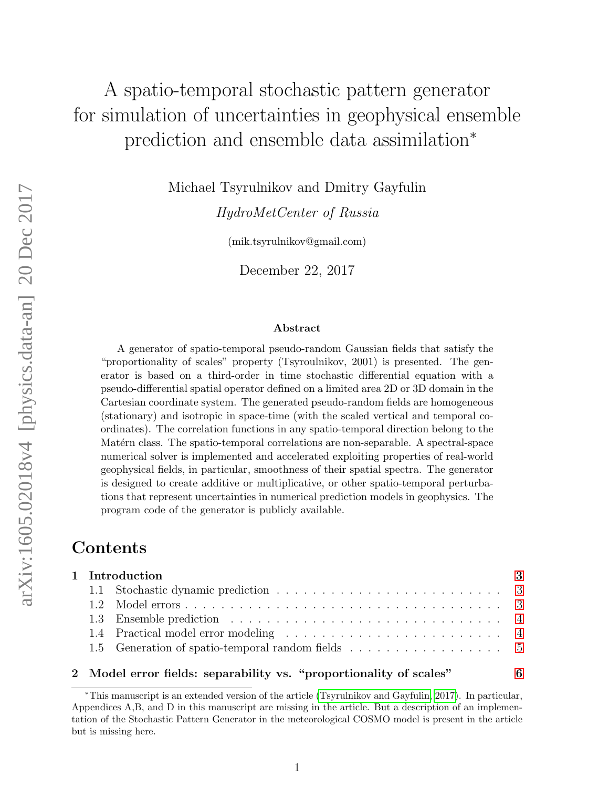# A spatio-temporal stochastic pattern generator for simulation of uncertainties in geophysical ensemble prediction and ensemble data assimilation<sup>∗</sup>

Michael Tsyrulnikov and Dmitry Gayfulin

HydroMetCenter of Russia

(mik.tsyrulnikov@gmail.com)

December 22, 2017

#### Abstract

A generator of spatio-temporal pseudo-random Gaussian fields that satisfy the "proportionality of scales" property (Tsyroulnikov, 2001) is presented. The generator is based on a third-order in time stochastic differential equation with a pseudo-differential spatial operator defined on a limited area 2D or 3D domain in the Cartesian coordinate system. The generated pseudo-random fields are homogeneous (stationary) and isotropic in space-time (with the scaled vertical and temporal coordinates). The correlation functions in any spatio-temporal direction belong to the Matérn class. The spatio-temporal correlations are non-separable. A spectral-space numerical solver is implemented and accelerated exploiting properties of real-world geophysical fields, in particular, smoothness of their spatial spectra. The generator is designed to create additive or multiplicative, or other spatio-temporal perturbations that represent uncertainties in numerical prediction models in geophysics. The program code of the generator is publicly available.

# Contents

| 1 Introduction |  |  |  |  |
|----------------|--|--|--|--|
|                |  |  |  |  |
|                |  |  |  |  |
|                |  |  |  |  |
|                |  |  |  |  |
|                |  |  |  |  |

### 2 Model error fields: separability vs. "proportionality of scales" [6](#page-5-0)

<sup>∗</sup>This manuscript is an extended version of the article [\(Tsyrulnikov and Gayfulin, 2017\)](#page-38-0). In particular, Appendices A,B, and D in this manuscript are missing in the article. But a description of an implementation of the Stochastic Pattern Generator in the meteorological COSMO model is present in the article but is missing here.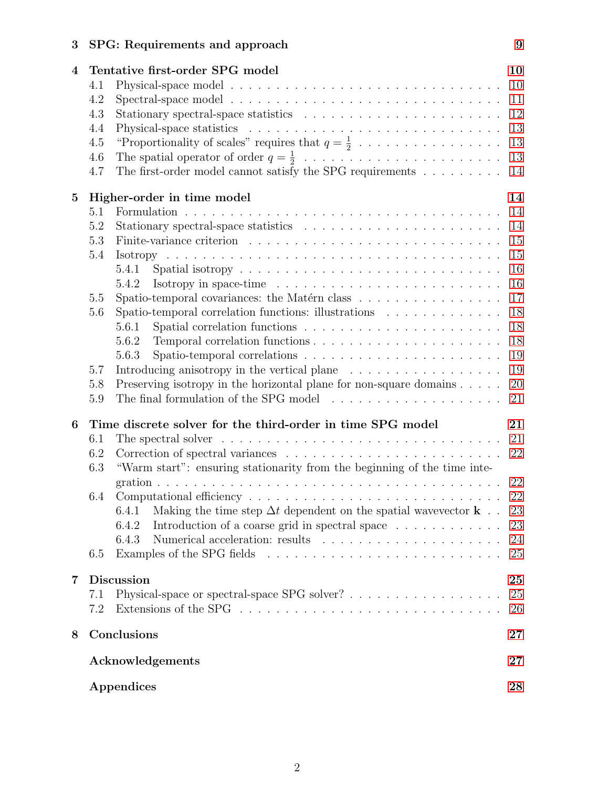# 3 SPG: Requirements and approach [9](#page-8-0)

| $\overline{4}$ | Tentative first-order SPG model                                                                      | 10     |  |  |  |  |
|----------------|------------------------------------------------------------------------------------------------------|--------|--|--|--|--|
|                | 4.1                                                                                                  | 10     |  |  |  |  |
|                | 4.2                                                                                                  | 11     |  |  |  |  |
|                | 4.3                                                                                                  | 12     |  |  |  |  |
|                | 4.4                                                                                                  | 13     |  |  |  |  |
|                | "Proportionality of scales" requires that $q = \frac{1}{2}$<br>4.5                                   | 13     |  |  |  |  |
|                | 4.6                                                                                                  | 13     |  |  |  |  |
|                | The first-order model cannot satisfy the SPG requirements $\ldots \ldots \ldots$<br>4.7              | 14     |  |  |  |  |
| $\overline{5}$ | Higher-order in time model                                                                           | 14     |  |  |  |  |
|                | 5.1                                                                                                  | 14     |  |  |  |  |
|                | 5.2                                                                                                  | 14     |  |  |  |  |
|                | 5.3                                                                                                  | 15     |  |  |  |  |
|                | 5.4                                                                                                  | 15     |  |  |  |  |
|                | 5.4.1                                                                                                | 16     |  |  |  |  |
|                | Isotropy in space-time $\ldots \ldots \ldots \ldots \ldots \ldots \ldots \ldots$<br>5.4.2            | 16     |  |  |  |  |
|                | Spatio-temporal covariances: the Matérn class<br>5.5                                                 | 17     |  |  |  |  |
|                | Spatio-temporal correlation functions: illustrations<br>5.6                                          | 18     |  |  |  |  |
|                | 5.6.1                                                                                                | 18     |  |  |  |  |
|                | 5.6.2                                                                                                | 18     |  |  |  |  |
|                | 5.6.3                                                                                                | 19     |  |  |  |  |
|                | Introducing anisotropy in the vertical plane $\ldots \ldots \ldots \ldots \ldots$<br>5.7             | 19     |  |  |  |  |
|                | Preserving isotropy in the horizontal plane for non-square domains $\ldots$ .<br>5.8                 | 20     |  |  |  |  |
|                | The final formulation of the SPG model<br>5.9                                                        | 21     |  |  |  |  |
| 6              | Time discrete solver for the third-order in time SPG model                                           | 21     |  |  |  |  |
|                | The spectral solver $\dots \dots \dots \dots \dots \dots \dots \dots \dots \dots \dots \dots$<br>6.1 | 21     |  |  |  |  |
|                | 6.2                                                                                                  | 22     |  |  |  |  |
|                | "Warm start": ensuring stationarity from the beginning of the time inte-<br>6.3                      |        |  |  |  |  |
|                |                                                                                                      | 22     |  |  |  |  |
|                | 6.4                                                                                                  | 22     |  |  |  |  |
|                | 6.4.1 Making the time step $\Delta t$ dependent on the spatial wavevector <b>k</b>                   | $23\,$ |  |  |  |  |
|                | Introduction of a coarse grid in spectral space $\dots \dots \dots \dots$<br>6.4.2                   | 23     |  |  |  |  |
|                | 6.4.3                                                                                                | 24     |  |  |  |  |
|                | 6.5                                                                                                  | 25     |  |  |  |  |
| 7              | <b>Discussion</b><br>25                                                                              |        |  |  |  |  |
|                | Physical-space or spectral-space SPG solver?<br>7.1                                                  | 25     |  |  |  |  |
|                | 7.2                                                                                                  | 26     |  |  |  |  |
| 8              | Conclusions                                                                                          |        |  |  |  |  |
|                | Acknowledgements                                                                                     |        |  |  |  |  |
|                | Appendices                                                                                           | 28     |  |  |  |  |
|                |                                                                                                      |        |  |  |  |  |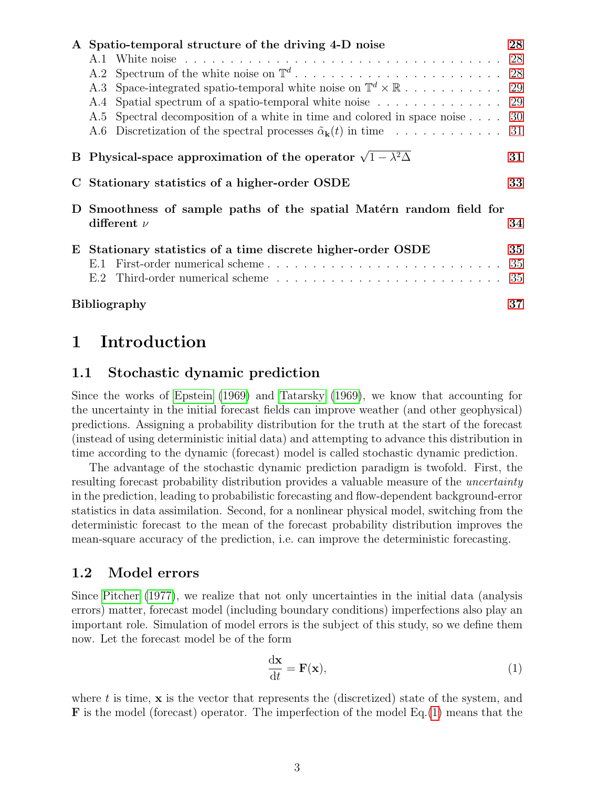|   | A Spatio-temporal structure of the driving 4-D noise                            |                                                                                    |     |  |  |
|---|---------------------------------------------------------------------------------|------------------------------------------------------------------------------------|-----|--|--|
|   |                                                                                 |                                                                                    | 28  |  |  |
|   |                                                                                 |                                                                                    |     |  |  |
|   |                                                                                 |                                                                                    |     |  |  |
|   | A.4                                                                             | Spatial spectrum of a spatio-temporal white noise $\ldots \ldots \ldots \ldots$ 29 |     |  |  |
|   |                                                                                 | A.5 Spectral decomposition of a white in time and colored in space noise 30        |     |  |  |
|   |                                                                                 | A.6 Discretization of the spectral processes $\tilde{\alpha}_{\bf k}(t)$ in time   | -31 |  |  |
|   | B Physical-space approximation of the operator $\sqrt{1-\lambda^2\Delta}$<br>31 |                                                                                    |     |  |  |
|   |                                                                                 | C Stationary statistics of a higher-order OSDE                                     | 33  |  |  |
| D | Smoothness of sample paths of the spatial Matérn random field for               |                                                                                    |     |  |  |
|   |                                                                                 | different $\nu$                                                                    | 34  |  |  |
|   | E Stationary statistics of a time discrete higher-order OSDE                    |                                                                                    |     |  |  |
|   | E.1                                                                             |                                                                                    | 35  |  |  |
|   | E.2                                                                             |                                                                                    | 35  |  |  |
|   |                                                                                 | <b>Bibliography</b>                                                                | 37  |  |  |

# <span id="page-2-0"></span>1 Introduction

### <span id="page-2-1"></span>1.1 Stochastic dynamic prediction

Since the works of [Epstein](#page-37-0) [\(1969\)](#page-37-0) and [Tatarsky](#page-38-1) [\(1969\)](#page-38-1), we know that accounting for the uncertainty in the initial forecast fields can improve weather (and other geophysical) predictions. Assigning a probability distribution for the truth at the start of the forecast (instead of using deterministic initial data) and attempting to advance this distribution in time according to the dynamic (forecast) model is called stochastic dynamic prediction.

The advantage of the stochastic dynamic prediction paradigm is twofold. First, the resulting forecast probability distribution provides a valuable measure of the uncertainty in the prediction, leading to probabilistic forecasting and flow-dependent background-error statistics in data assimilation. Second, for a nonlinear physical model, switching from the deterministic forecast to the mean of the forecast probability distribution improves the mean-square accuracy of the prediction, i.e. can improve the deterministic forecasting.

### <span id="page-2-2"></span>1.2 Model errors

Since [Pitcher](#page-37-1) [\(1977\)](#page-37-1), we realize that not only uncertainties in the initial data (analysis errors) matter, forecast model (including boundary conditions) imperfections also play an important role. Simulation of model errors is the subject of this study, so we define them now. Let the forecast model be of the form

<span id="page-2-3"></span>
$$
\frac{\mathrm{d}\mathbf{x}}{\mathrm{d}t} = \mathbf{F}(\mathbf{x}),\tag{1}
$$

where t is time,  $x$  is the vector that represents the (discretized) state of the system, and F is the model (forecast) operator. The imperfection of the model Eq.[\(1\)](#page-2-3) means that the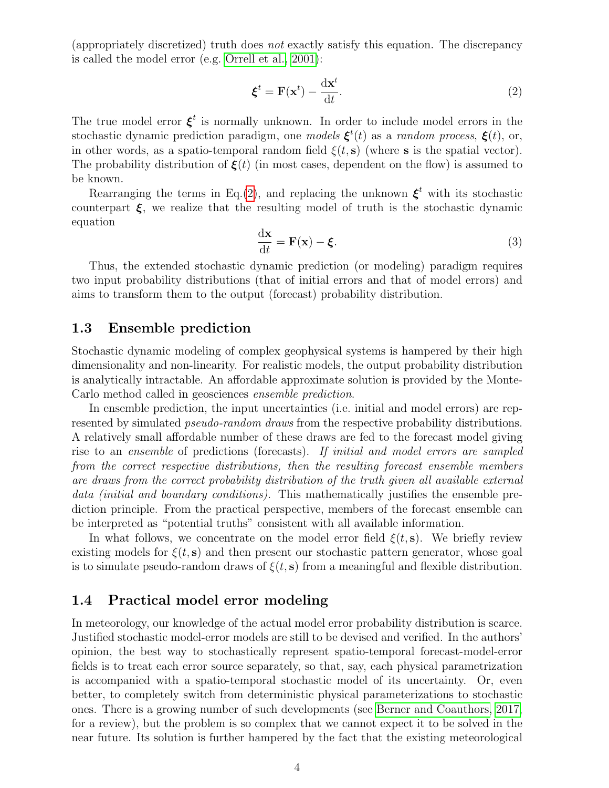(appropriately discretized) truth does not exactly satisfy this equation. The discrepancy is called the model error (e.g. [Orrell et al., 2001\)](#page-37-2):

<span id="page-3-2"></span>
$$
\boldsymbol{\xi}^t = \mathbf{F}(\mathbf{x}^t) - \frac{\mathrm{d}\mathbf{x}^t}{\mathrm{d}t}.\tag{2}
$$

The true model error  $\xi^t$  is normally unknown. In order to include model errors in the stochastic dynamic prediction paradigm, one *models*  $\xi^t(t)$  as a *random process*,  $\xi(t)$ , or, in other words, as a spatio-temporal random field  $\xi(t,s)$  (where s is the spatial vector). The probability distribution of  $\xi(t)$  (in most cases, dependent on the flow) is assumed to be known.

Rearranging the terms in Eq.[\(2\)](#page-3-2), and replacing the unknown  $\xi^t$  with its stochastic counterpart  $\xi$ , we realize that the resulting model of truth is the stochastic dynamic equation

$$
\frac{\mathrm{d}\mathbf{x}}{\mathrm{d}t} = \mathbf{F}(\mathbf{x}) - \boldsymbol{\xi}.\tag{3}
$$

Thus, the extended stochastic dynamic prediction (or modeling) paradigm requires two input probability distributions (that of initial errors and that of model errors) and aims to transform them to the output (forecast) probability distribution.

### <span id="page-3-0"></span>1.3 Ensemble prediction

Stochastic dynamic modeling of complex geophysical systems is hampered by their high dimensionality and non-linearity. For realistic models, the output probability distribution is analytically intractable. An affordable approximate solution is provided by the Monte-Carlo method called in geosciences ensemble prediction.

In ensemble prediction, the input uncertainties (i.e. initial and model errors) are represented by simulated *pseudo-random draws* from the respective probability distributions. A relatively small affordable number of these draws are fed to the forecast model giving rise to an ensemble of predictions (forecasts). If initial and model errors are sampled from the correct respective distributions, then the resulting forecast ensemble members are draws from the correct probability distribution of the truth given all available external data *(initial and boundary conditions)*. This mathematically justifies the ensemble prediction principle. From the practical perspective, members of the forecast ensemble can be interpreted as "potential truths" consistent with all available information.

In what follows, we concentrate on the model error field  $\xi(t,s)$ . We briefly review existing models for  $\xi(t, s)$  and then present our stochastic pattern generator, whose goal is to simulate pseudo-random draws of  $\xi(t, s)$  from a meaningful and flexible distribution.

### <span id="page-3-1"></span>1.4 Practical model error modeling

In meteorology, our knowledge of the actual model error probability distribution is scarce. Justified stochastic model-error models are still to be devised and verified. In the authors' opinion, the best way to stochastically represent spatio-temporal forecast-model-error fields is to treat each error source separately, so that, say, each physical parametrization is accompanied with a spatio-temporal stochastic model of its uncertainty. Or, even better, to completely switch from deterministic physical parameterizations to stochastic ones. There is a growing number of such developments (see [Berner and Coauthors, 2017,](#page-36-1) for a review), but the problem is so complex that we cannot expect it to be solved in the near future. Its solution is further hampered by the fact that the existing meteorological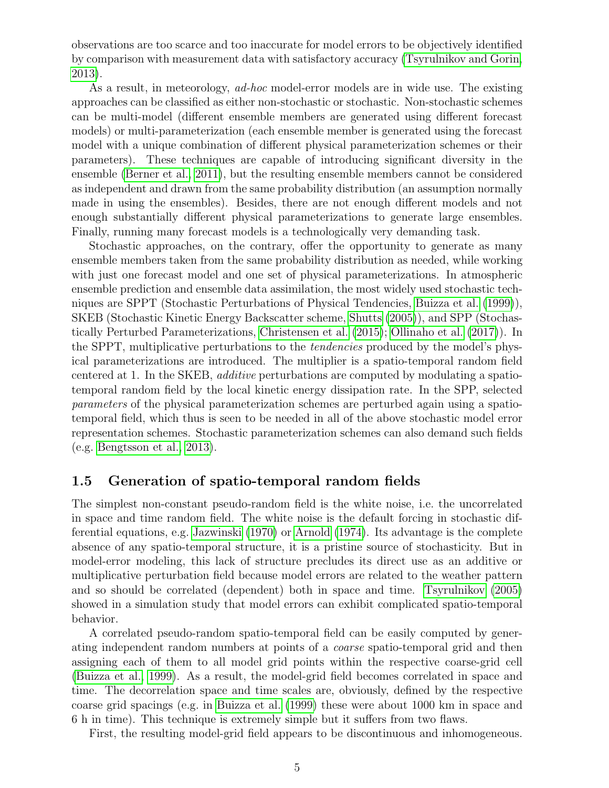observations are too scarce and too inaccurate for model errors to be objectively identified by comparison with measurement data with satisfactory accuracy [\(Tsyrulnikov and Gorin,](#page-38-2) [2013\)](#page-38-2).

As a result, in meteorology, ad-hoc model-error models are in wide use. The existing approaches can be classified as either non-stochastic or stochastic. Non-stochastic schemes can be multi-model (different ensemble members are generated using different forecast models) or multi-parameterization (each ensemble member is generated using the forecast model with a unique combination of different physical parameterization schemes or their parameters). These techniques are capable of introducing significant diversity in the ensemble [\(Berner et al., 2011\)](#page-36-2), but the resulting ensemble members cannot be considered as independent and drawn from the same probability distribution (an assumption normally made in using the ensembles). Besides, there are not enough different models and not enough substantially different physical parameterizations to generate large ensembles. Finally, running many forecast models is a technologically very demanding task.

Stochastic approaches, on the contrary, offer the opportunity to generate as many ensemble members taken from the same probability distribution as needed, while working with just one forecast model and one set of physical parameterizations. In atmospheric ensemble prediction and ensemble data assimilation, the most widely used stochastic techniques are SPPT (Stochastic Perturbations of Physical Tendencies, [Buizza et al.](#page-36-3) [\(1999\)](#page-36-3)), SKEB (Stochastic Kinetic Energy Backscatter scheme, [Shutts](#page-37-3) [\(2005\)](#page-37-3)), and SPP (Stochastically Perturbed Parameterizations, [Christensen et al.](#page-37-4) [\(2015\)](#page-37-4); [Ollinaho et al.](#page-37-5) [\(2017\)](#page-37-5)). In the SPPT, multiplicative perturbations to the tendencies produced by the model's physical parameterizations are introduced. The multiplier is a spatio-temporal random field centered at 1. In the SKEB, additive perturbations are computed by modulating a spatiotemporal random field by the local kinetic energy dissipation rate. In the SPP, selected parameters of the physical parameterization schemes are perturbed again using a spatiotemporal field, which thus is seen to be needed in all of the above stochastic model error representation schemes. Stochastic parameterization schemes can also demand such fields (e.g. [Bengtsson et al., 2013\)](#page-36-4).

### <span id="page-4-0"></span>1.5 Generation of spatio-temporal random fields

The simplest non-constant pseudo-random field is the white noise, i.e. the uncorrelated in space and time random field. The white noise is the default forcing in stochastic differential equations, e.g. [Jazwinski](#page-37-6) [\(1970\)](#page-37-6) or [Arnold](#page-36-5) [\(1974\)](#page-36-5). Its advantage is the complete absence of any spatio-temporal structure, it is a pristine source of stochasticity. But in model-error modeling, this lack of structure precludes its direct use as an additive or multiplicative perturbation field because model errors are related to the weather pattern and so should be correlated (dependent) both in space and time. [Tsyrulnikov](#page-38-3) [\(2005\)](#page-38-3) showed in a simulation study that model errors can exhibit complicated spatio-temporal behavior.

A correlated pseudo-random spatio-temporal field can be easily computed by generating independent random numbers at points of a coarse spatio-temporal grid and then assigning each of them to all model grid points within the respective coarse-grid cell [\(Buizza et al., 1999\)](#page-36-3). As a result, the model-grid field becomes correlated in space and time. The decorrelation space and time scales are, obviously, defined by the respective coarse grid spacings (e.g. in [Buizza et al.](#page-36-3) [\(1999\)](#page-36-3) these were about 1000 km in space and 6 h in time). This technique is extremely simple but it suffers from two flaws.

First, the resulting model-grid field appears to be discontinuous and inhomogeneous.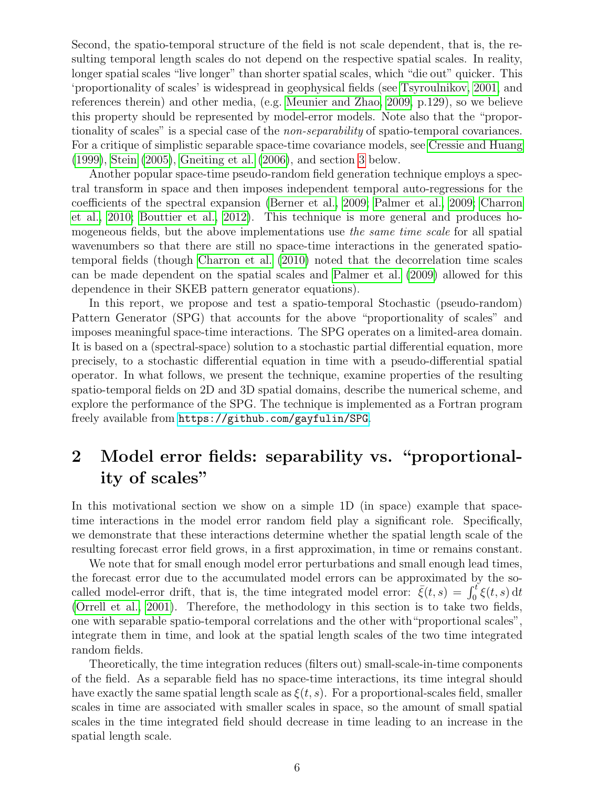Second, the spatio-temporal structure of the field is not scale dependent, that is, the resulting temporal length scales do not depend on the respective spatial scales. In reality, longer spatial scales "live longer" than shorter spatial scales, which "die out" quicker. This 'proportionality of scales' is widespread in geophysical fields (see [Tsyroulnikov, 2001,](#page-38-4) and references therein) and other media, (e.g. [Meunier and Zhao, 2009,](#page-37-7) p.129), so we believe this property should be represented by model-error models. Note also that the "proportionality of scales" is a special case of the *non-separability* of spatio-temporal covariances. For a critique of simplistic separable space-time covariance models, see [Cressie and Huang](#page-37-8) [\(1999\)](#page-37-8), [Stein](#page-38-5) [\(2005\)](#page-38-5), [Gneiting et al.](#page-37-9) [\(2006\)](#page-37-9), and section [3](#page-8-0) below.

Another popular space-time pseudo-random field generation technique employs a spectral transform in space and then imposes independent temporal auto-regressions for the coefficients of the spectral expansion [\(Berner et al., 2009;](#page-36-6) [Palmer et al., 2009;](#page-37-10) [Charron](#page-36-7) [et al., 2010;](#page-36-7) [Bouttier et al., 2012\)](#page-36-8). This technique is more general and produces homogeneous fields, but the above implementations use the same time scale for all spatial wavenumbers so that there are still no space-time interactions in the generated spatiotemporal fields (though [Charron et al.](#page-36-7) [\(2010\)](#page-36-7) noted that the decorrelation time scales can be made dependent on the spatial scales and [Palmer et al.](#page-37-10) [\(2009\)](#page-37-10) allowed for this dependence in their SKEB pattern generator equations).

In this report, we propose and test a spatio-temporal Stochastic (pseudo-random) Pattern Generator (SPG) that accounts for the above "proportionality of scales" and imposes meaningful space-time interactions. The SPG operates on a limited-area domain. It is based on a (spectral-space) solution to a stochastic partial differential equation, more precisely, to a stochastic differential equation in time with a pseudo-differential spatial operator. In what follows, we present the technique, examine properties of the resulting spatio-temporal fields on 2D and 3D spatial domains, describe the numerical scheme, and explore the performance of the SPG. The technique is implemented as a Fortran program freely available from <https://github.com/gayfulin/SPG>.

# <span id="page-5-0"></span>2 Model error fields: separability vs. "proportionality of scales"

In this motivational section we show on a simple 1D (in space) example that spacetime interactions in the model error random field play a significant role. Specifically, we demonstrate that these interactions determine whether the spatial length scale of the resulting forecast error field grows, in a first approximation, in time or remains constant.

We note that for small enough model error perturbations and small enough lead times, the forecast error due to the accumulated model errors can be approximated by the socalled model-error drift, that is, the time integrated model error:  $\bar{\xi}(t,s) = \int_0^t \xi(t,s) dt$ [\(Orrell et al., 2001\)](#page-37-2). Therefore, the methodology in this section is to take two fields, one with separable spatio-temporal correlations and the other with"proportional scales", integrate them in time, and look at the spatial length scales of the two time integrated random fields.

Theoretically, the time integration reduces (filters out) small-scale-in-time components of the field. As a separable field has no space-time interactions, its time integral should have exactly the same spatial length scale as  $\xi(t, s)$ . For a proportional-scales field, smaller scales in time are associated with smaller scales in space, so the amount of small spatial scales in the time integrated field should decrease in time leading to an increase in the spatial length scale.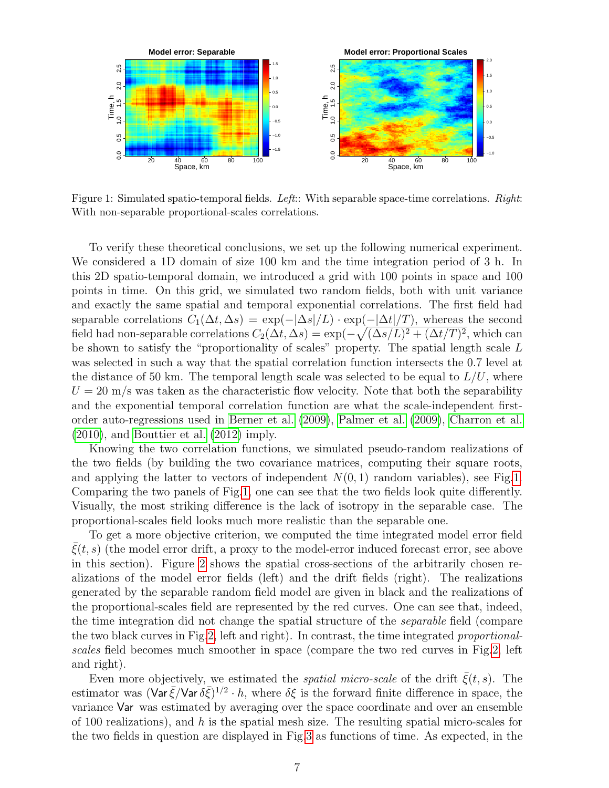<span id="page-6-0"></span>

Figure 1: Simulated spatio-temporal fields. Left:: With separable space-time correlations. Right: With non-separable proportional-scales correlations.

To verify these theoretical conclusions, we set up the following numerical experiment. We considered a 1D domain of size 100 km and the time integration period of 3 h. In this 2D spatio-temporal domain, we introduced a grid with 100 points in space and 100 points in time. On this grid, we simulated two random fields, both with unit variance and exactly the same spatial and temporal exponential correlations. The first field had separable correlations  $C_1(\Delta t, \Delta s) = \exp(-|\Delta s|/L) \cdot \exp(-|\Delta t|/T)$ , whereas the second field had non-separable correlations  $C_2(\Delta t, \Delta s) = \exp(-\sqrt{(\Delta s/L)^2 + (\Delta t/T)^2})$ , which can be shown to satisfy the "proportionality of scales" property. The spatial length scale L was selected in such a way that the spatial correlation function intersects the 0.7 level at the distance of 50 km. The temporal length scale was selected to be equal to  $L/U$ , where  $U = 20$  m/s was taken as the characteristic flow velocity. Note that both the separability and the exponential temporal correlation function are what the scale-independent firstorder auto-regressions used in [Berner et al.](#page-36-6) [\(2009\)](#page-36-6), [Palmer et al.](#page-37-10) [\(2009\)](#page-37-10), [Charron et al.](#page-36-7) [\(2010\)](#page-36-7), and [Bouttier et al.](#page-36-8) [\(2012\)](#page-36-8) imply.

Knowing the two correlation functions, we simulated pseudo-random realizations of the two fields (by building the two covariance matrices, computing their square roots, and applying the latter to vectors of independent  $N(0, 1)$  random variables), see Fig[.1.](#page-6-0) Comparing the two panels of Fig[.1,](#page-6-0) one can see that the two fields look quite differently. Visually, the most striking difference is the lack of isotropy in the separable case. The proportional-scales field looks much more realistic than the separable one.

To get a more objective criterion, we computed the time integrated model error field  $\xi(t, s)$  (the model error drift, a proxy to the model-error induced forecast error, see above in this section). Figure [2](#page-7-0) shows the spatial cross-sections of the arbitrarily chosen realizations of the model error fields (left) and the drift fields (right). The realizations generated by the separable random field model are given in black and the realizations of the proportional-scales field are represented by the red curves. One can see that, indeed, the time integration did not change the spatial structure of the separable field (compare the two black curves in Fig[.2,](#page-7-0) left and right). In contrast, the time integrated proportionalscales field becomes much smoother in space (compare the two red curves in Fig[.2,](#page-7-0) left and right).

Even more objectively, we estimated the *spatial micro-scale* of the drift  $\bar{\xi}(t, s)$ . The estimator was  $(\text{Var}\,\bar{\xi}/\text{Var}\,\delta\bar{\xi})^{1/2} \cdot h$ , where  $\delta\xi$  is the forward finite difference in space, the variance Var was estimated by averaging over the space coordinate and over an ensemble of 100 realizations), and  $h$  is the spatial mesh size. The resulting spatial micro-scales for the two fields in question are displayed in Fig[.3](#page-7-1) as functions of time. As expected, in the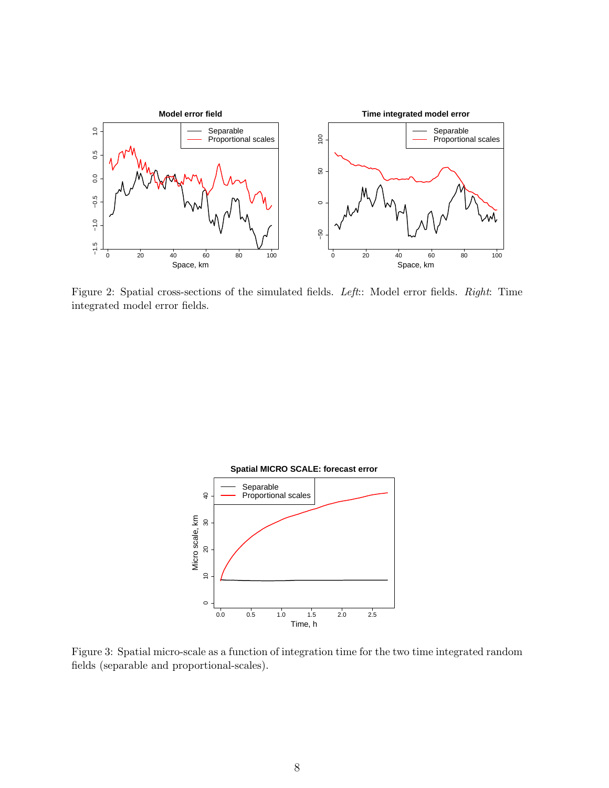<span id="page-7-0"></span>

Figure 2: Spatial cross-sections of the simulated fields. Left:: Model error fields. Right: Time integrated model error fields.

<span id="page-7-1"></span>

Figure 3: Spatial micro-scale as a function of integration time for the two time integrated random fields (separable and proportional-scales).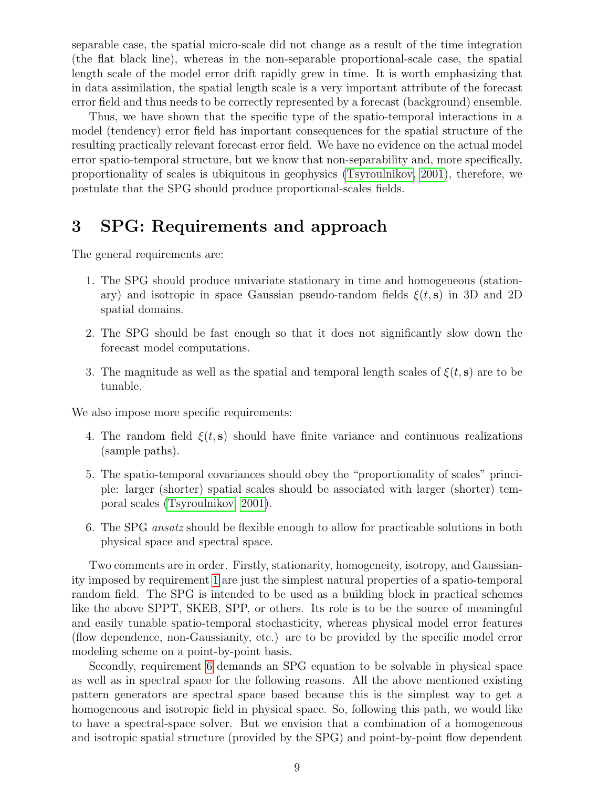separable case, the spatial micro-scale did not change as a result of the time integration (the flat black line), whereas in the non-separable proportional-scale case, the spatial length scale of the model error drift rapidly grew in time. It is worth emphasizing that in data assimilation, the spatial length scale is a very important attribute of the forecast error field and thus needs to be correctly represented by a forecast (background) ensemble.

Thus, we have shown that the specific type of the spatio-temporal interactions in a model (tendency) error field has important consequences for the spatial structure of the resulting practically relevant forecast error field. We have no evidence on the actual model error spatio-temporal structure, but we know that non-separability and, more specifically, proportionality of scales is ubiquitous in geophysics [\(Tsyroulnikov, 2001\)](#page-38-4), therefore, we postulate that the SPG should produce proportional-scales fields.

# <span id="page-8-0"></span>3 SPG: Requirements and approach

The general requirements are:

- <span id="page-8-1"></span>1. The SPG should produce univariate stationary in time and homogeneous (stationary) and isotropic in space Gaussian pseudo-random fields  $\xi(t,s)$  in 3D and 2D spatial domains.
- 2. The SPG should be fast enough so that it does not significantly slow down the forecast model computations.
- 3. The magnitude as well as the spatial and temporal length scales of  $\xi(t, s)$  are to be tunable.

<span id="page-8-4"></span>We also impose more specific requirements:

- 4. The random field  $\xi(t, s)$  should have finite variance and continuous realizations (sample paths).
- <span id="page-8-3"></span>5. The spatio-temporal covariances should obey the "proportionality of scales" principle: larger (shorter) spatial scales should be associated with larger (shorter) temporal scales [\(Tsyroulnikov, 2001\)](#page-38-4).
- <span id="page-8-2"></span>6. The SPG ansatz should be flexible enough to allow for practicable solutions in both physical space and spectral space.

Two comments are in order. Firstly, stationarity, homogeneity, isotropy, and Gaussianity imposed by requirement [1](#page-8-1) are just the simplest natural properties of a spatio-temporal random field. The SPG is intended to be used as a building block in practical schemes like the above SPPT, SKEB, SPP, or others. Its role is to be the source of meaningful and easily tunable spatio-temporal stochasticity, whereas physical model error features (flow dependence, non-Gaussianity, etc.) are to be provided by the specific model error modeling scheme on a point-by-point basis.

Secondly, requirement [6](#page-8-2) demands an SPG equation to be solvable in physical space as well as in spectral space for the following reasons. All the above mentioned existing pattern generators are spectral space based because this is the simplest way to get a homogeneous and isotropic field in physical space. So, following this path, we would like to have a spectral-space solver. But we envision that a combination of a homogeneous and isotropic spatial structure (provided by the SPG) and point-by-point flow dependent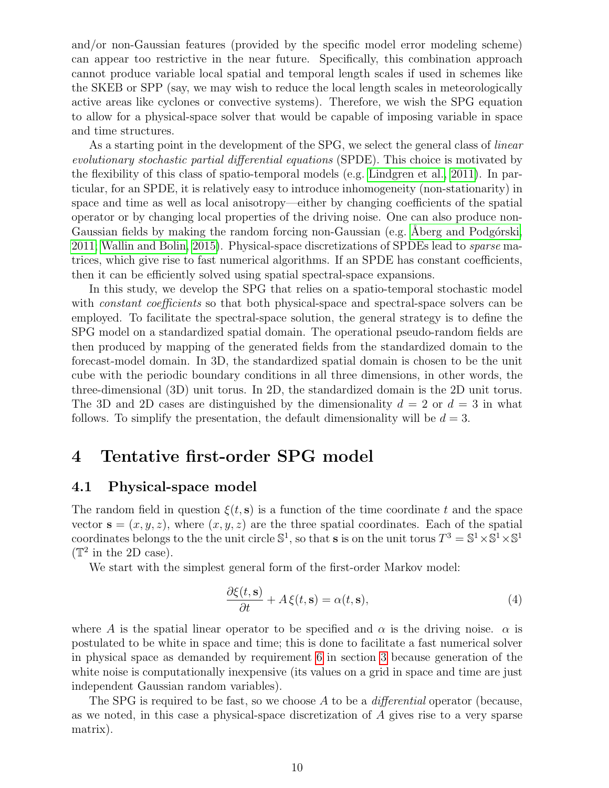and/or non-Gaussian features (provided by the specific model error modeling scheme) can appear too restrictive in the near future. Specifically, this combination approach cannot produce variable local spatial and temporal length scales if used in schemes like the SKEB or SPP (say, we may wish to reduce the local length scales in meteorologically active areas like cyclones or convective systems). Therefore, we wish the SPG equation to allow for a physical-space solver that would be capable of imposing variable in space and time structures.

As a starting point in the development of the SPG, we select the general class of *linear* evolutionary stochastic partial differential equations (SPDE). This choice is motivated by the flexibility of this class of spatio-temporal models (e.g. [Lindgren et al., 2011\)](#page-37-11). In particular, for an SPDE, it is relatively easy to introduce inhomogeneity (non-stationarity) in space and time as well as local anisotropy—either by changing coefficients of the spatial operator or by changing local properties of the driving noise. One can also produce non-Gaussian fields by making the random forcing non-Gaussian (e.g. Åberg and Podgórski, [2011;](#page-36-9) [Wallin and Bolin, 2015\)](#page-38-6). Physical-space discretizations of SPDEs lead to sparse matrices, which give rise to fast numerical algorithms. If an SPDE has constant coefficients, then it can be efficiently solved using spatial spectral-space expansions.

In this study, we develop the SPG that relies on a spatio-temporal stochastic model with *constant coefficients* so that both physical-space and spectral-space solvers can be employed. To facilitate the spectral-space solution, the general strategy is to define the SPG model on a standardized spatial domain. The operational pseudo-random fields are then produced by mapping of the generated fields from the standardized domain to the forecast-model domain. In 3D, the standardized spatial domain is chosen to be the unit cube with the periodic boundary conditions in all three dimensions, in other words, the three-dimensional (3D) unit torus. In 2D, the standardized domain is the 2D unit torus. The 3D and 2D cases are distinguished by the dimensionality  $d = 2$  or  $d = 3$  in what follows. To simplify the presentation, the default dimensionality will be  $d = 3$ .

# <span id="page-9-0"></span>4 Tentative first-order SPG model

### <span id="page-9-1"></span>4.1 Physical-space model

The random field in question  $\xi(t, s)$  is a function of the time coordinate t and the space vector  $\mathbf{s} = (x, y, z)$ , where  $(x, y, z)$  are the three spatial coordinates. Each of the spatial coordinates belongs to the the unit circle  $\mathbb{S}^1$ , so that **s** is on the unit torus  $T^3 = \mathbb{S}^1 \times \mathbb{S}^1 \times \mathbb{S}^1$  $(\mathbb{T}^2$  in the 2D case).

We start with the simplest general form of the first-order Markov model:

$$
\frac{\partial \xi(t, \mathbf{s})}{\partial t} + A \xi(t, \mathbf{s}) = \alpha(t, \mathbf{s}),\tag{4}
$$

where A is the spatial linear operator to be specified and  $\alpha$  is the driving noise.  $\alpha$  is postulated to be white in space and time; this is done to facilitate a fast numerical solver in physical space as demanded by requirement [6](#page-8-2) in section [3](#page-8-0) because generation of the white noise is computationally inexpensive (its values on a grid in space and time are just independent Gaussian random variables).

The SPG is required to be fast, so we choose  $A$  to be a *differential* operator (because, as we noted, in this case a physical-space discretization of A gives rise to a very sparse matrix).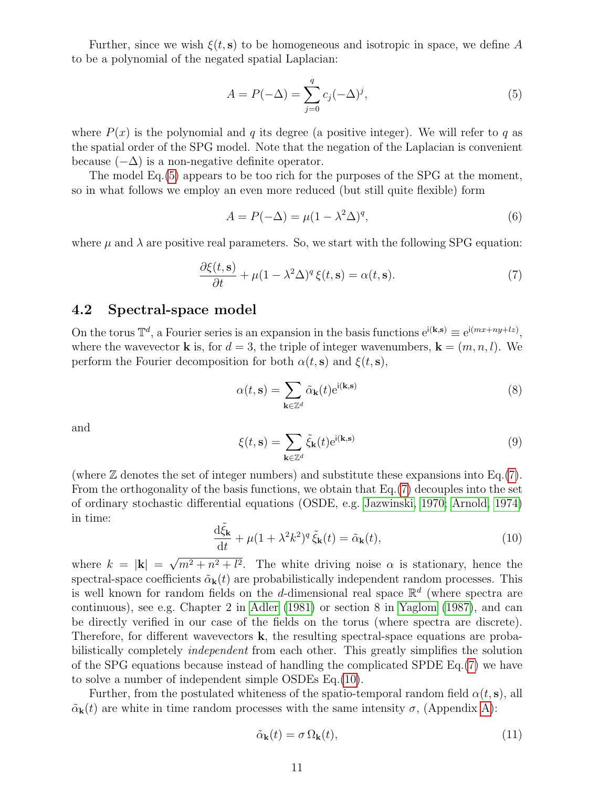Further, since we wish  $\xi(t, s)$  to be homogeneous and isotropic in space, we define A to be a polynomial of the negated spatial Laplacian:

<span id="page-10-1"></span>
$$
A = P(-\Delta) = \sum_{j=0}^{q} c_j (-\Delta)^j,
$$
\n<sup>(5)</sup>

where  $P(x)$  is the polynomial and q its degree (a positive integer). We will refer to q as the spatial order of the SPG model. Note that the negation of the Laplacian is convenient because  $(-\Delta)$  is a non-negative definite operator.

The model Eq.[\(5\)](#page-10-1) appears to be too rich for the purposes of the SPG at the moment, so in what follows we employ an even more reduced (but still quite flexible) form

<span id="page-10-5"></span>
$$
A = P(-\Delta) = \mu(1 - \lambda^2 \Delta)^q,\tag{6}
$$

<span id="page-10-2"></span>where  $\mu$  and  $\lambda$  are positive real parameters. So, we start with the following SPG equation:

$$
\frac{\partial \xi(t, \mathbf{s})}{\partial t} + \mu (1 - \lambda^2 \Delta)^q \xi(t, \mathbf{s}) = \alpha(t, \mathbf{s}).\tag{7}
$$

## <span id="page-10-0"></span>4.2 Spectral-space model

On the torus  $\mathbb{T}^d$ , a Fourier series is an expansion in the basis functions  $e^{i(k,s)} \equiv e^{i(mx+ny+lz)}$ , where the wavevector **k** is, for  $d = 3$ , the triple of integer wavenumbers,  $\mathbf{k} = (m, n, l)$ . We perform the Fourier decomposition for both  $\alpha(t, s)$  and  $\xi(t, s)$ ,

$$
\alpha(t, \mathbf{s}) = \sum_{\mathbf{k} \in \mathbb{Z}^d} \tilde{\alpha}_{\mathbf{k}}(t) e^{i(\mathbf{k}, \mathbf{s})}
$$
(8)

<span id="page-10-4"></span>and

$$
\xi(t,\mathbf{s}) = \sum_{\mathbf{k}\in\mathbb{Z}^d} \tilde{\xi}_{\mathbf{k}}(t) e^{i(\mathbf{k},\mathbf{s})}
$$
(9)

<span id="page-10-3"></span>(where  $\mathbb Z$  denotes the set of integer numbers) and substitute these expansions into Eq.[\(7\)](#page-10-2). From the orthogonality of the basis functions, we obtain that Eq.[\(7\)](#page-10-2) decouples into the set of ordinary stochastic differential equations (OSDE, e.g. [Jazwinski, 1970;](#page-37-6) [Arnold, 1974\)](#page-36-5) in time:

$$
\frac{\mathrm{d}\tilde{\xi}_{\mathbf{k}}}{\mathrm{d}t} + \mu(1 + \lambda^2 k^2)^q \, \tilde{\xi}_{\mathbf{k}}(t) = \tilde{\alpha}_{\mathbf{k}}(t),\tag{10}
$$

where  $k = |\mathbf{k}| =$ √  $m^2 + n^2 + l^2$ . The white driving noise  $\alpha$  is stationary, hence the spectral-space coefficients  $\tilde{\alpha}_{k}(t)$  are probabilistically independent random processes. This is well known for random fields on the d-dimensional real space  $\mathbb{R}^d$  (where spectra are continuous), see e.g. Chapter 2 in [Adler](#page-36-10) [\(1981\)](#page-36-10) or section 8 in [Yaglom](#page-38-7) [\(1987\)](#page-38-7), and can be directly verified in our case of the fields on the torus (where spectra are discrete). Therefore, for different wavevectors  $\bf{k}$ , the resulting spectral-space equations are probabilistically completely *independent* from each other. This greatly simplifies the solution of the SPG equations because instead of handling the complicated SPDE Eq.[\(7\)](#page-10-2) we have to solve a number of independent simple OSDEs Eq.[\(10\)](#page-10-3).

Further, from the postulated whiteness of the spatio-temporal random field  $\alpha(t, s)$ , all  $\tilde{\alpha}_{\bf k}(t)$  are white in time random processes with the same intensity  $\sigma$ , (Appendix [A\)](#page-27-1):

$$
\tilde{\alpha}_{\mathbf{k}}(t) = \sigma \, \Omega_{\mathbf{k}}(t),\tag{11}
$$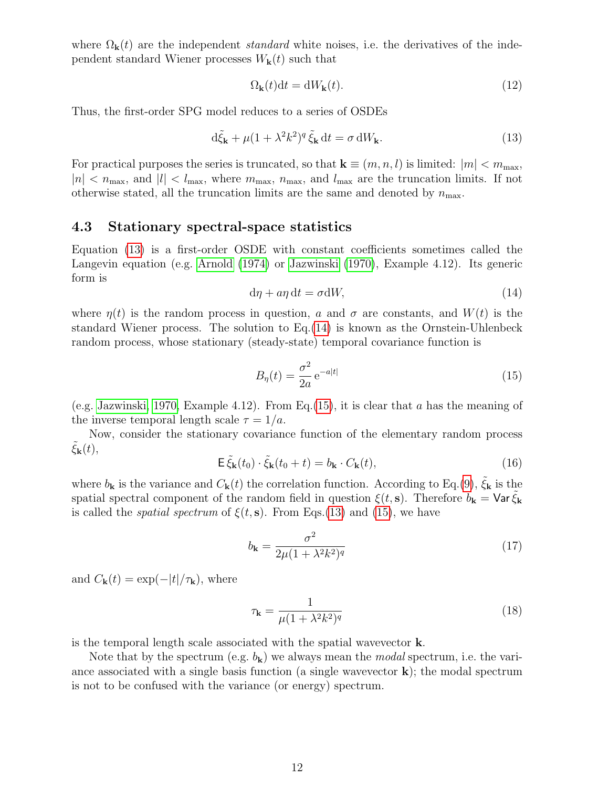where  $\Omega_{\bf k}(t)$  are the independent *standard* white noises, i.e. the derivatives of the independent standard Wiener processes  $W_{\mathbf{k}}(t)$  such that

<span id="page-11-7"></span><span id="page-11-1"></span>
$$
\Omega_{\mathbf{k}}(t)dt = dW_{\mathbf{k}}(t). \tag{12}
$$

Thus, the first-order SPG model reduces to a series of OSDEs

$$
d\tilde{\xi}_{\mathbf{k}} + \mu (1 + \lambda^2 k^2)^q \tilde{\xi}_{\mathbf{k}} dt = \sigma dW_{\mathbf{k}}.
$$
 (13)

For practical purposes the series is truncated, so that  $\mathbf{k} \equiv (m, n, l)$  is limited:  $|m| < m_{\text{max}}$ ,  $|n| < n_{\text{max}}$ , and  $|l| < l_{\text{max}}$ , where  $m_{\text{max}}$ ,  $n_{\text{max}}$ , and  $l_{\text{max}}$  are the truncation limits. If not otherwise stated, all the truncation limits are the same and denoted by  $n_{\text{max}}$ .

### <span id="page-11-0"></span>4.3 Stationary spectral-space statistics

<span id="page-11-2"></span>Equation [\(13\)](#page-11-1) is a first-order OSDE with constant coefficients sometimes called the Langevin equation (e.g. [Arnold](#page-36-5) [\(1974\)](#page-36-5) or [Jazwinski](#page-37-6) [\(1970\)](#page-37-6), Example 4.12). Its generic form is

$$
d\eta + a\eta dt = \sigma dW,\tag{14}
$$

where  $\eta(t)$  is the random process in question, a and  $\sigma$  are constants, and  $W(t)$  is the standard Wiener process. The solution to Eq.[\(14\)](#page-11-2) is known as the Ornstein-Uhlenbeck random process, whose stationary (steady-state) temporal covariance function is

<span id="page-11-3"></span>
$$
B_{\eta}(t) = \frac{\sigma^2}{2a} e^{-a|t|} \tag{15}
$$

(e.g. [Jazwinski, 1970,](#page-37-6) Example 4.12). From Eq.  $(15)$ , it is clear that a has the meaning of the inverse temporal length scale  $\tau = 1/a$ .

<span id="page-11-6"></span>Now, consider the stationary covariance function of the elementary random process  $\xi_{\mathbf{k}}(t),$ 

$$
\mathsf{E}\,\tilde{\xi}_{\mathbf{k}}(t_0)\cdot\tilde{\xi}_{\mathbf{k}}(t_0+t)=b_{\mathbf{k}}\cdot C_{\mathbf{k}}(t),\tag{16}
$$

where  $b_{\bf k}$  is the variance and  $C_{\bf k}(t)$  the correlation function. According to Eq.[\(9\)](#page-10-4),  $\xi_{\bf k}$  is the spatial spectral component of the random field in question  $\xi(t, s)$ . Therefore  $b_{\mathbf{k}} = \text{Var} \xi_{\mathbf{k}}$ is called the *spatial spectrum* of  $\xi(t, s)$ . From Eqs.[\(13\)](#page-11-1) and [\(15\)](#page-11-3), we have

<span id="page-11-5"></span>
$$
b_{\mathbf{k}} = \frac{\sigma^2}{2\mu(1 + \lambda^2 k^2)^q}
$$
\n(17)

and  $C_{\bf k}(t) = \exp(-|t|/\tau_{\bf k})$ , where

<span id="page-11-4"></span>
$$
\tau_{\mathbf{k}} = \frac{1}{\mu (1 + \lambda^2 k^2)^q} \tag{18}
$$

is the temporal length scale associated with the spatial wavevector k.

Note that by the spectrum (e.g.  $b_k$ ) we always mean the *modal* spectrum, i.e. the variance associated with a single basis function (a single wavevector  $\bf{k}$ ); the modal spectrum is not to be confused with the variance (or energy) spectrum.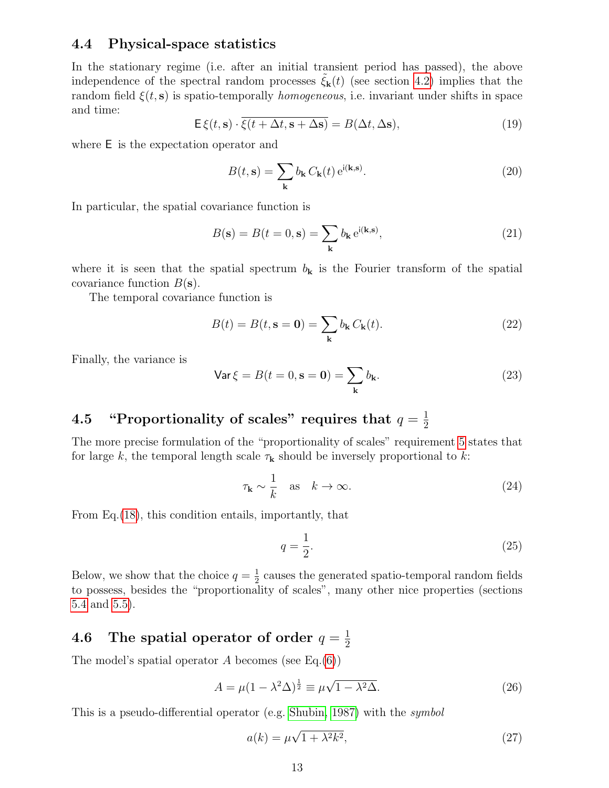### <span id="page-12-0"></span>4.4 Physical-space statistics

In the stationary regime (i.e. after an initial transient period has passed), the above independence of the spectral random processes  $\xi_{\mathbf{k}}(t)$  (see section [4.2\)](#page-10-0) implies that the random field  $\xi(t, s)$  is spatio-temporally *homogeneous*, i.e. invariant under shifts in space and time:

$$
\mathsf{E}\,\xi(t,\mathbf{s})\cdot\overline{\xi(t+\Delta t,\mathbf{s}+\Delta\mathbf{s})} = B(\Delta t,\Delta\mathbf{s}),\tag{19}
$$

where E is the expectation operator and

$$
B(t, \mathbf{s}) = \sum_{\mathbf{k}} b_{\mathbf{k}} C_{\mathbf{k}}(t) e^{i(\mathbf{k}, \mathbf{s})}.
$$
 (20)

In particular, the spatial covariance function is

$$
B(\mathbf{s}) = B(t = 0, \mathbf{s}) = \sum_{\mathbf{k}} b_{\mathbf{k}} e^{i(\mathbf{k}, \mathbf{s})},
$$
\n(21)

where it is seen that the spatial spectrum  $b_k$  is the Fourier transform of the spatial covariance function  $B(\mathbf{s})$ .

The temporal covariance function is

$$
B(t) = B(t, \mathbf{s} = \mathbf{0}) = \sum_{\mathbf{k}} b_{\mathbf{k}} C_{\mathbf{k}}(t).
$$
 (22)

Finally, the variance is

<span id="page-12-3"></span>
$$
\text{Var}\,\xi = B(t=0,\mathbf{s}=\mathbf{0}) = \sum_{\mathbf{k}} b_{\mathbf{k}}.\tag{23}
$$

#### <span id="page-12-1"></span>4.5 "Proportionality of scales" requires that  $q=\frac{1}{2}$ 2

The more precise formulation of the "proportionality of scales" requirement [5](#page-8-3) states that for large k, the temporal length scale  $\tau_{\mathbf{k}}$  should be inversely proportional to k:

$$
\tau_{\mathbf{k}} \sim \frac{1}{k} \quad \text{as} \quad k \to \infty. \tag{24}
$$

From Eq.[\(18\)](#page-11-4), this condition entails, importantly, that

<span id="page-12-4"></span>
$$
q = \frac{1}{2}.\tag{25}
$$

Below, we show that the choice  $q=\frac{1}{2}$  $\frac{1}{2}$  causes the generated spatio-temporal random fields to possess, besides the "proportionality of scales", many other nice properties (sections [5.4](#page-14-1) and [5.5\)](#page-16-0).

#### <span id="page-12-2"></span>4.6 The spatial operator of order  $q=\frac{1}{2}$ 2

The model's spatial operator A becomes (see Eq. $(6)$ )

$$
A = \mu (1 - \lambda^2 \Delta)^{\frac{1}{2}} \equiv \mu \sqrt{1 - \lambda^2 \Delta}.
$$
 (26)

This is a pseudo-differential operator (e.g. [Shubin, 1987\)](#page-37-12) with the symbol

<span id="page-12-5"></span>
$$
a(k) = \mu\sqrt{1 + \lambda^2 k^2},\tag{27}
$$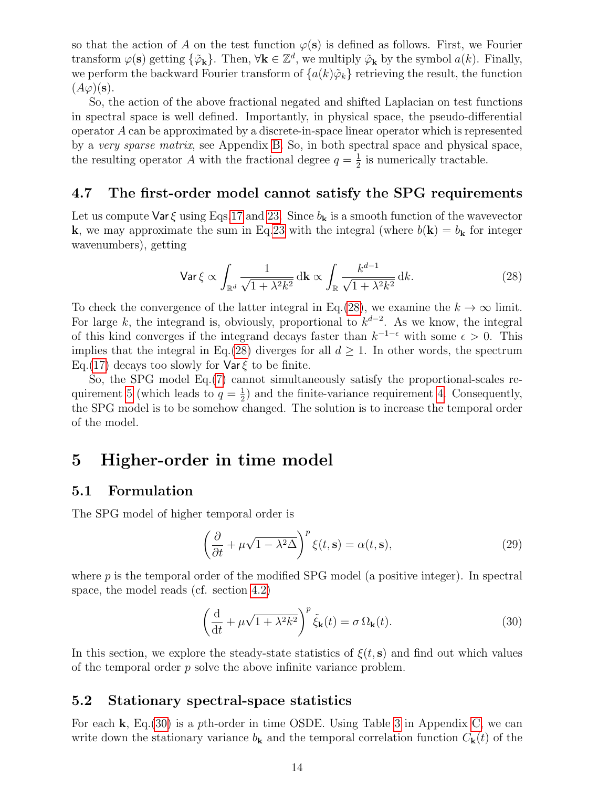so that the action of A on the test function  $\varphi(s)$  is defined as follows. First, we Fourier transform  $\varphi(\mathbf{s})$  getting  $\{\tilde{\varphi}_{\mathbf{k}}\}$ . Then,  $\forall \mathbf{k} \in \mathbb{Z}^d$ , we multiply  $\tilde{\varphi}_{\mathbf{k}}$  by the symbol  $a(k)$ . Finally, we perform the backward Fourier transform of  $\{a(k)\tilde{\varphi}_k\}$  retrieving the result, the function  $(A\varphi)(s)$ .

So, the action of the above fractional negated and shifted Laplacian on test functions in spectral space is well defined. Importantly, in physical space, the pseudo-differential operator A can be approximated by a discrete-in-space linear operator which is represented by a very sparse matrix, see Appendix [B.](#page-30-1) So, in both spectral space and physical space, the resulting operator A with the fractional degree  $q = \frac{1}{2}$  $\frac{1}{2}$  is numerically tractable.

### <span id="page-13-0"></span>4.7 The first-order model cannot satisfy the SPG requirements

Let us compute  $\text{Var } \xi$  using Eqs[.17](#page-11-5) and [23.](#page-12-3) Since  $b_k$  is a smooth function of the wavevector **k**, we may approximate the sum in Eq[.23](#page-12-3) with the integral (where  $b(\mathbf{k}) = b_{\mathbf{k}}$  for integer wavenumbers), getting

<span id="page-13-4"></span>
$$
\text{Var}\,\xi \propto \int_{\mathbb{R}^d} \frac{1}{\sqrt{1 + \lambda^2 k^2}} \, \mathrm{d}\mathbf{k} \propto \int_{\mathbb{R}} \frac{k^{d-1}}{\sqrt{1 + \lambda^2 k^2}} \, \mathrm{d}k. \tag{28}
$$

To check the convergence of the latter integral in Eq.[\(28\)](#page-13-4), we examine the  $k \to \infty$  limit. For large k, the integrand is, obviously, proportional to  $k^{d-2}$ . As we know, the integral of this kind converges if the integrand decays faster than  $k^{-1-\epsilon}$  with some  $\epsilon > 0$ . This implies that the integral in Eq.[\(28\)](#page-13-4) diverges for all  $d \geq 1$ . In other words, the spectrum Eq.[\(17\)](#page-11-5) decays too slowly for  $\text{Var}\xi$  to be finite.

So, the SPG model Eq.[\(7\)](#page-10-2) cannot simultaneously satisfy the proportional-scales re-quirement [5](#page-8-3) (which leads to  $q=\frac{1}{2}$  $\frac{1}{2}$ ) and the finite-variance requirement [4.](#page-8-4) Consequently, the SPG model is to be somehow changed. The solution is to increase the temporal order of the model.

## <span id="page-13-1"></span>5 Higher-order in time model

### <span id="page-13-2"></span>5.1 Formulation

The SPG model of higher temporal order is

<span id="page-13-6"></span>
$$
\left(\frac{\partial}{\partial t} + \mu \sqrt{1 - \lambda^2 \Delta}\right)^p \xi(t, \mathbf{s}) = \alpha(t, \mathbf{s}),\tag{29}
$$

where  $p$  is the temporal order of the modified SPG model (a positive integer). In spectral space, the model reads (cf. section [4.2\)](#page-10-0)

<span id="page-13-5"></span>
$$
\left(\frac{\mathrm{d}}{\mathrm{d}t} + \mu\sqrt{1 + \lambda^2 k^2}\right)^p \tilde{\xi}_{\mathbf{k}}(t) = \sigma \,\Omega_{\mathbf{k}}(t). \tag{30}
$$

In this section, we explore the steady-state statistics of  $\xi(t, s)$  and find out which values of the temporal order  $p$  solve the above infinite variance problem.

### <span id="page-13-3"></span>5.2 Stationary spectral-space statistics

For each k, Eq.[\(30\)](#page-13-5) is a pth-order in time OSDE. Using Table [3](#page-33-1) in Appendix [C,](#page-32-0) we can write down the stationary variance  $b_{\mathbf{k}}$  and the temporal correlation function  $C_{\mathbf{k}}(t)$  of the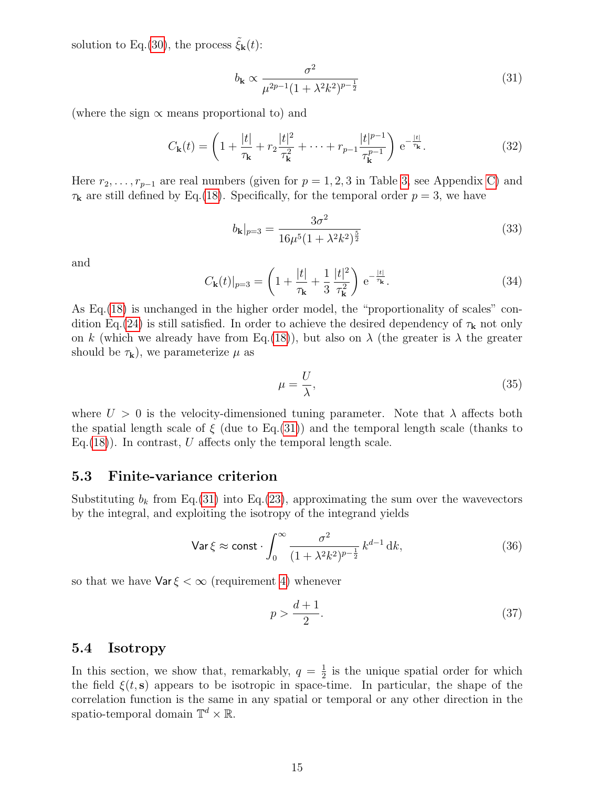solution to Eq.[\(30\)](#page-13-5), the process  $\tilde{\xi}_{\bf k}(t)$ :

<span id="page-14-2"></span>
$$
b_{\mathbf{k}} \propto \frac{\sigma^2}{\mu^{2p-1} (1 + \lambda^2 k^2)^{p - \frac{1}{2}}} \tag{31}
$$

(where the sign  $\propto$  means proportional to) and

$$
C_{\mathbf{k}}(t) = \left(1 + \frac{|t|}{\tau_{\mathbf{k}}} + r_2 \frac{|t|^2}{\tau_{\mathbf{k}}^2} + \dots + r_{p-1} \frac{|t|^{p-1}}{\tau_{\mathbf{k}}^{p-1}}\right) e^{-\frac{|t|}{\tau_{\mathbf{k}}}}.
$$
(32)

Here  $r_2, \ldots, r_{p-1}$  are real numbers (given for  $p = 1, 2, 3$  in Table [3,](#page-33-1) see Appendix [C\)](#page-32-0) and  $\tau_{\mathbf{k}}$  are still defined by Eq.[\(18\)](#page-11-4). Specifically, for the temporal order  $p=3$ , we have

<span id="page-14-4"></span>
$$
b_{\mathbf{k}}|_{p=3} = \frac{3\sigma^2}{16\mu^5 (1 + \lambda^2 k^2)^{\frac{5}{2}}} \tag{33}
$$

and

$$
C_{\mathbf{k}}(t)|_{p=3} = \left(1 + \frac{|t|}{\tau_{\mathbf{k}}} + \frac{1}{3} \frac{|t|^2}{\tau_{\mathbf{k}}^2}\right) e^{-\frac{|t|}{\tau_{\mathbf{k}}}}.
$$
 (34)

As Eq.[\(18\)](#page-11-4) is unchanged in the higher order model, the "proportionality of scales" con-dition Eq.[\(24\)](#page-12-4) is still satisfied. In order to achieve the desired dependency of  $\tau_{\mathbf{k}}$  not only on k (which we already have from Eq.[\(18\)](#page-11-4)), but also on  $\lambda$  (the greater is  $\lambda$  the greater should be  $\tau_{\mathbf{k}}$ , we parameterize  $\mu$  as

$$
\mu = \frac{U}{\lambda},\tag{35}
$$

where  $U > 0$  is the velocity-dimensioned tuning parameter. Note that  $\lambda$  affects both the spatial length scale of  $\xi$  (due to Eq.[\(31\)](#page-14-2)) and the temporal length scale (thanks to Eq.  $(18)$ ). In contrast, U affects only the temporal length scale.

### <span id="page-14-0"></span>5.3 Finite-variance criterion

Substituting  $b_k$  from Eq.[\(31\)](#page-14-2) into Eq.[\(23\)](#page-12-3), approximating the sum over the wavevectors by the integral, and exploiting the isotropy of the integrand yields

$$
\text{Var}\,\xi \approx \text{const} \cdot \int_0^\infty \frac{\sigma^2}{(1 + \lambda^2 k^2)^{p - \frac{1}{2}}} \, k^{d-1} \, \mathrm{d}k,\tag{36}
$$

so that we have  $\text{Var } \xi < \infty$  (requirement [4\)](#page-8-4) whenever

<span id="page-14-3"></span>
$$
p > \frac{d+1}{2}.\tag{37}
$$

#### <span id="page-14-1"></span>5.4 Isotropy

In this section, we show that, remarkably,  $q = \frac{1}{2}$  $\frac{1}{2}$  is the unique spatial order for which the field  $\xi(t, s)$  appears to be isotropic in space-time. In particular, the shape of the correlation function is the same in any spatial or temporal or any other direction in the spatio-temporal domain  $\mathbb{T}^d \times \mathbb{R}$ .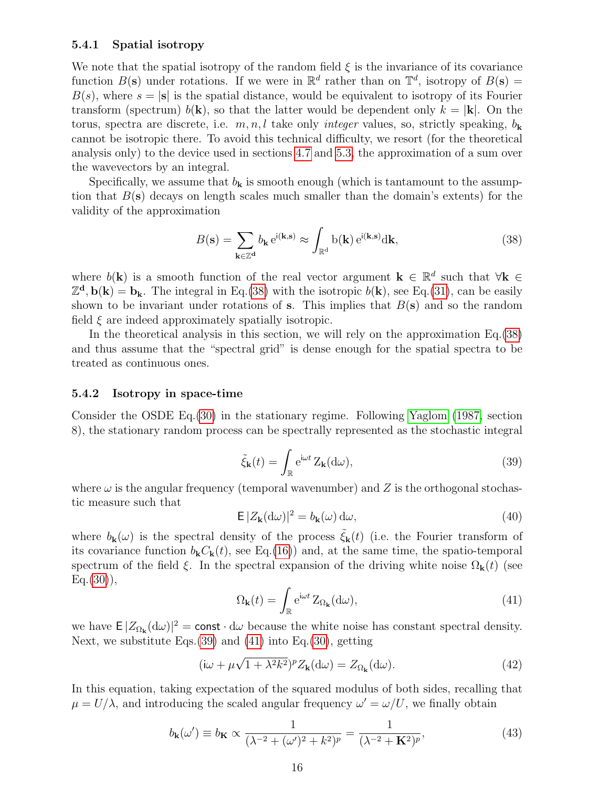#### <span id="page-15-0"></span>5.4.1 Spatial isotropy

We note that the spatial isotropy of the random field  $\xi$  is the invariance of its covariance function  $B(s)$  under rotations. If we were in  $\mathbb{R}^d$  rather than on  $\mathbb{T}^d$ , isotropy of  $B(s)$  =  $B(s)$ , where  $s = |\mathbf{s}|$  is the spatial distance, would be equivalent to isotropy of its Fourier transform (spectrum)  $b(\mathbf{k})$ , so that the latter would be dependent only  $k = |\mathbf{k}|$ . On the torus, spectra are discrete, i.e.  $m, n, l$  take only *integer* values, so, strictly speaking,  $b_{\mathbf{k}}$ cannot be isotropic there. To avoid this technical difficulty, we resort (for the theoretical analysis only) to the device used in sections [4.7](#page-13-0) and [5.3,](#page-14-0) the approximation of a sum over the wavevectors by an integral.

Specifically, we assume that  $b_k$  is smooth enough (which is tantamount to the assumption that  $B(s)$  decays on length scales much smaller than the domain's extents) for the validity of the approximation

<span id="page-15-2"></span>
$$
B(\mathbf{s}) = \sum_{\mathbf{k} \in \mathbb{Z}^{\mathbf{d}}} b_{\mathbf{k}} e^{i(\mathbf{k}, \mathbf{s})} \approx \int_{\mathbb{R}^{\mathbf{d}}} b(\mathbf{k}) e^{i(\mathbf{k}, \mathbf{s})} d\mathbf{k},\tag{38}
$$

where  $b(\mathbf{k})$  is a smooth function of the real vector argument  $\mathbf{k} \in \mathbb{R}^d$  such that  $\forall \mathbf{k} \in \mathbb{R}^d$  $\mathbb{Z}^d$ ,  $\mathbf{b}(\mathbf{k}) = \mathbf{b}_{\mathbf{k}}$ . The integral in Eq.[\(38\)](#page-15-2) with the isotropic  $b(\mathbf{k})$ , see Eq.[\(31\)](#page-14-2), can be easily shown to be invariant under rotations of s. This implies that  $B(s)$  and so the random field  $\xi$  are indeed approximately spatially isotropic.

In the theoretical analysis in this section, we will rely on the approximation Eq.[\(38\)](#page-15-2) and thus assume that the "spectral grid" is dense enough for the spatial spectra to be treated as continuous ones.

#### <span id="page-15-1"></span>5.4.2 Isotropy in space-time

<span id="page-15-3"></span>Consider the OSDE Eq.[\(30\)](#page-13-5) in the stationary regime. Following [Yaglom](#page-38-7) [\(1987,](#page-38-7) section 8), the stationary random process can be spectrally represented as the stochastic integral

$$
\tilde{\xi}_{\mathbf{k}}(t) = \int_{\mathbb{R}} e^{i\omega t} Z_{\mathbf{k}}(d\omega),\tag{39}
$$

where  $\omega$  is the angular frequency (temporal wavenumber) and Z is the orthogonal stochastic measure such that

$$
\mathsf{E}\,|Z_{\mathbf{k}}(\mathrm{d}\omega)|^2 = b_{\mathbf{k}}(\omega)\,\mathrm{d}\omega,\tag{40}
$$

<span id="page-15-4"></span>where  $b_{\bf k}(\omega)$  is the spectral density of the process  $\tilde{\xi}_{\bf k}(t)$  (i.e. the Fourier transform of its covariance function  $b_{\bf k}C_{\bf k}(t)$ , see Eq.[\(16\)](#page-11-6)) and, at the same time, the spatio-temporal spectrum of the field  $\xi$ . In the spectral expansion of the driving white noise  $\Omega_{\bf k}(t)$  (see  $Eq.(30)$  $Eq.(30)$ ,

<span id="page-15-5"></span>
$$
\Omega_{\mathbf{k}}(t) = \int_{\mathbb{R}} e^{i\omega t} Z_{\Omega_{\mathbf{k}}}(d\omega), \tag{41}
$$

we have  $E |Z_{\Omega_{\mathbf{k}}}(d\omega)|^2 = \text{const} \cdot d\omega$  because the white noise has constant spectral density. Next, we substitute Eqs.[\(39\)](#page-15-3) and [\(41\)](#page-15-4) into Eq.[\(30\)](#page-13-5), getting

$$
(\mathrm{i}\omega + \mu\sqrt{1 + \lambda^2 k^2})^p Z_{\mathbf{k}}(\mathrm{d}\omega) = Z_{\Omega_{\mathbf{k}}}(\mathrm{d}\omega). \tag{42}
$$

In this equation, taking expectation of the squared modulus of both sides, recalling that  $\mu = U/\lambda$ , and introducing the scaled angular frequency  $\omega' = \omega/U$ , we finally obtain

$$
b_{\mathbf{k}}(\omega') \equiv b_{\mathbf{K}} \propto \frac{1}{(\lambda^{-2} + (\omega')^2 + k^2)^p} = \frac{1}{(\lambda^{-2} + \mathbf{K}^2)^p},\tag{43}
$$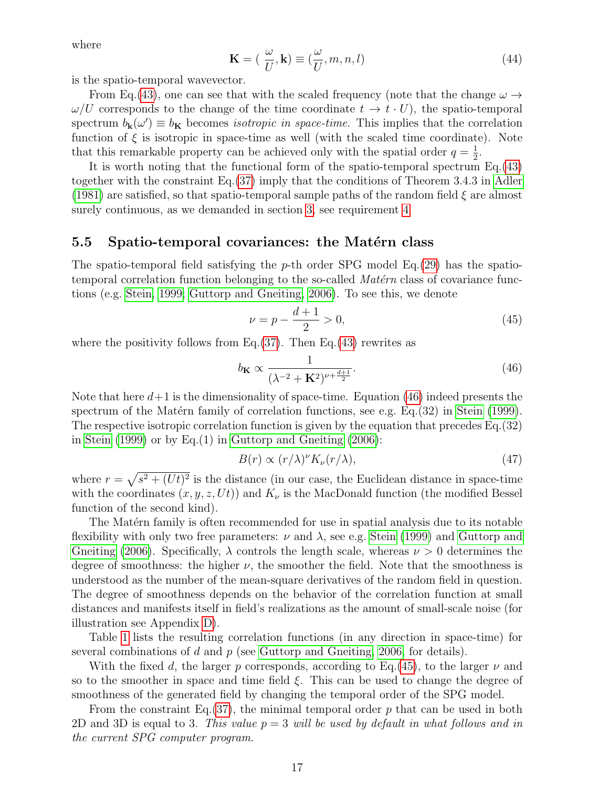where

$$
\mathbf{K} = \left(\frac{\omega}{U}, \mathbf{k}\right) \equiv \left(\frac{\omega}{U}, m, n, l\right) \tag{44}
$$

is the spatio-temporal wavevector.

From Eq.[\(43\)](#page-15-5), one can see that with the scaled frequency (note that the change  $\omega \rightarrow$  $\omega/U$  corresponds to the change of the time coordinate  $t \to t \cdot U$ , the spatio-temporal spectrum  $b_{\mathbf{k}}(\omega') \equiv b_{\mathbf{K}}$  becomes *isotropic in space-time*. This implies that the correlation function of  $\xi$  is isotropic in space-time as well (with the scaled time coordinate). Note that this remarkable property can be achieved only with the spatial order  $q = \frac{1}{2}$  $\frac{1}{2}$ .

It is worth noting that the functional form of the spatio-temporal spectrum Eq.[\(43\)](#page-15-5) together with the constraint Eq.[\(37\)](#page-14-3) imply that the conditions of Theorem 3.4.3 in [Adler](#page-36-10) [\(1981\)](#page-36-10) are satisfied, so that spatio-temporal sample paths of the random field  $\xi$  are almost surely continuous, as we demanded in section [3,](#page-8-0) see requirement [4.](#page-8-4)

### <span id="page-16-0"></span>5.5 Spatio-temporal covariances: the Matérn class

The spatio-temporal field satisfying the p-th order SPG model Eq.  $(29)$  has the spatiotemporal correlation function belonging to the so-called  $\textit{Matérn}$  class of covariance functions (e.g. [Stein, 1999;](#page-38-8) [Guttorp and Gneiting, 2006\)](#page-37-13). To see this, we denote

<span id="page-16-2"></span><span id="page-16-1"></span>
$$
\nu = p - \frac{d+1}{2} > 0,\tag{45}
$$

where the positivity follows from Eq.  $(37)$ . Then Eq.  $(43)$  rewrites as

$$
b_{\mathbf{K}} \propto \frac{1}{(\lambda^{-2} + \mathbf{K}^2)^{\nu + \frac{d+1}{2}}}.\tag{46}
$$

Note that here  $d+1$  is the dimensionality of space-time. Equation [\(46\)](#page-16-1) indeed presents the spectrum of the Matérn family of correlation functions, see e.g.  $Eq.(32)$  in [Stein](#page-38-8) [\(1999\)](#page-38-8). The respective isotropic correlation function is given by the equation that precedes Eq.(32) in [Stein](#page-38-8)  $(1999)$  or by Eq. $(1)$  in [Guttorp and Gneiting](#page-37-13)  $(2006)$ :

<span id="page-16-3"></span>
$$
B(r) \propto (r/\lambda)^{\nu} K_{\nu}(r/\lambda),\tag{47}
$$

where  $r = \sqrt{s^2 + (Ut)^2}$  is the distance (in our case, the Euclidean distance in space-time with the coordinates  $(x, y, z, Ut)$  and  $K_{\nu}$  is the MacDonald function (the modified Bessel function of the second kind).

The Matérn family is often recommended for use in spatial analysis due to its notable flexibility with only two free parameters:  $\nu$  and  $\lambda$ , see e.g. [Stein](#page-38-8) [\(1999\)](#page-38-8) and [Guttorp and](#page-37-13) [Gneiting](#page-37-13) [\(2006\)](#page-37-13). Specifically,  $\lambda$  controls the length scale, whereas  $\nu > 0$  determines the degree of smoothness: the higher  $\nu$ , the smoother the field. Note that the smoothness is understood as the number of the mean-square derivatives of the random field in question. The degree of smoothness depends on the behavior of the correlation function at small distances and manifests itself in field's realizations as the amount of small-scale noise (for illustration see Appendix [D\)](#page-33-0).

Table [1](#page-17-3) lists the resulting correlation functions (in any direction in space-time) for several combinations of  $d$  and  $p$  (see [Guttorp and Gneiting, 2006,](#page-37-13) for details).

With the fixed d, the larger p corresponds, according to Eq.[\(45\)](#page-16-2), to the larger  $\nu$  and so to the smoother in space and time field ξ. This can be used to change the degree of smoothness of the generated field by changing the temporal order of the SPG model.

From the constraint Eq.  $(37)$ , the minimal temporal order p that can be used in both 2D and 3D is equal to 3. This value  $p = 3$  will be used by default in what follows and in the current SPG computer program.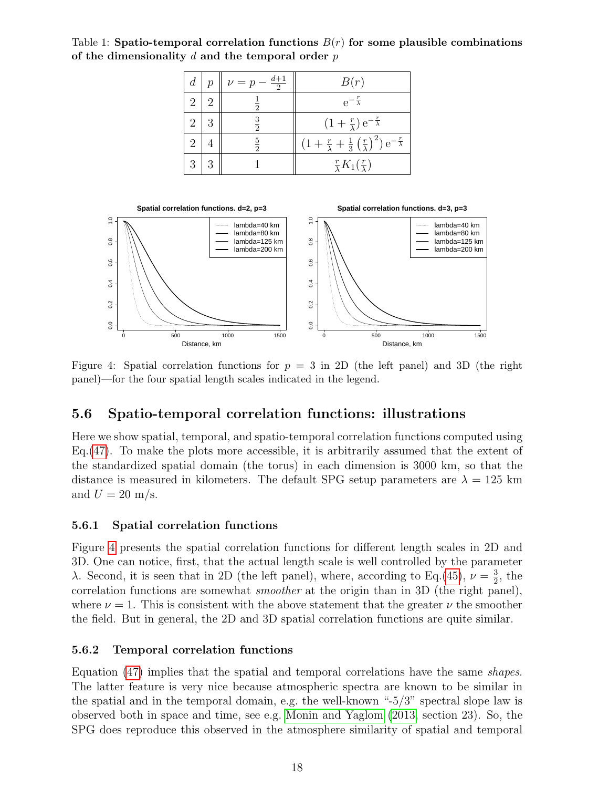<span id="page-17-3"></span>Table 1: Spatio-temporal correlation functions  $B(r)$  for some plausible combinations of the dimensionality  $d$  and the temporal order  $p$ 

| $d_{-}$ | $\mathcal{D}$ | . $\frac{d+1}{2}$<br>$\nu = p -$ | B(r)                                                                                                 |
|---------|---------------|----------------------------------|------------------------------------------------------------------------------------------------------|
| 2       |               | $\overline{2}$                   | $e^{-\frac{r}{\lambda}}$                                                                             |
| 2       |               | $\frac{3}{2}$                    | $(1+\frac{r}{\lambda})e^{-\frac{r}{\lambda}}$                                                        |
| 2       |               | $\frac{5}{2}$                    | $\left(1+\frac{r}{\lambda}+\frac{1}{3}\left(\frac{r}{\lambda}\right)^2\right)e^{-\frac{r}{\lambda}}$ |
| 3       |               |                                  | $\frac{r}{\lambda}K_1(\frac{r}{\lambda})$                                                            |

<span id="page-17-4"></span>

Figure 4: Spatial correlation functions for  $p = 3$  in 2D (the left panel) and 3D (the right panel)—for the four spatial length scales indicated in the legend.

### <span id="page-17-0"></span>5.6 Spatio-temporal correlation functions: illustrations

Here we show spatial, temporal, and spatio-temporal correlation functions computed using Eq.[\(47\)](#page-16-3). To make the plots more accessible, it is arbitrarily assumed that the extent of the standardized spatial domain (the torus) in each dimension is 3000 km, so that the distance is measured in kilometers. The default SPG setup parameters are  $\lambda = 125$  km and  $U = 20$  m/s.

### <span id="page-17-1"></span>5.6.1 Spatial correlation functions

Figure [4](#page-17-4) presents the spatial correlation functions for different length scales in 2D and 3D. One can notice, first, that the actual length scale is well controlled by the parameter λ. Second, it is seen that in 2D (the left panel), where, according to Eq.[\(45\)](#page-16-2),  $ν = \frac{3}{2}$  $\frac{3}{2}$ , the correlation functions are somewhat *smoother* at the origin than in 3D (the right panel), where  $\nu = 1$ . This is consistent with the above statement that the greater  $\nu$  the smoother the field. But in general, the 2D and 3D spatial correlation functions are quite similar.

### <span id="page-17-2"></span>5.6.2 Temporal correlation functions

Equation [\(47\)](#page-16-3) implies that the spatial and temporal correlations have the same shapes. The latter feature is very nice because atmospheric spectra are known to be similar in the spatial and in the temporal domain, e.g. the well-known "-5/3" spectral slope law is observed both in space and time, see e.g. [Monin and Yaglom](#page-37-14) [\(2013,](#page-37-14) section 23). So, the SPG does reproduce this observed in the atmosphere similarity of spatial and temporal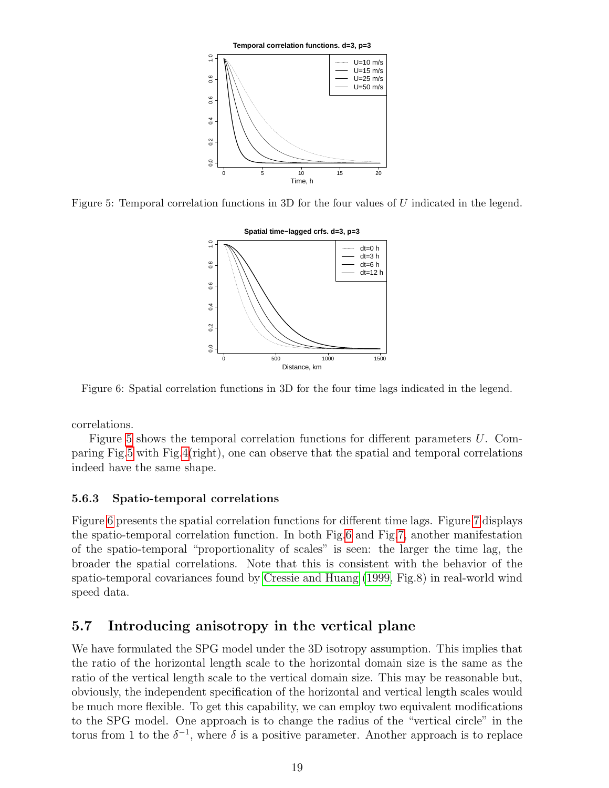<span id="page-18-2"></span>

<span id="page-18-3"></span>Figure 5: Temporal correlation functions in 3D for the four values of U indicated in the legend.



Figure 6: Spatial correlation functions in 3D for the four time lags indicated in the legend.

correlations.

Figure [5](#page-18-2) shows the temporal correlation functions for different parameters U. Comparing Fig[.5](#page-18-2) with Fig[.4\(](#page-17-4)right), one can observe that the spatial and temporal correlations indeed have the same shape.

### <span id="page-18-0"></span>5.6.3 Spatio-temporal correlations

Figure [6](#page-18-3) presents the spatial correlation functions for different time lags. Figure [7](#page-19-1) displays the spatio-temporal correlation function. In both Fig[.6](#page-18-3) and Fig[.7,](#page-19-1) another manifestation of the spatio-temporal "proportionality of scales" is seen: the larger the time lag, the broader the spatial correlations. Note that this is consistent with the behavior of the spatio-temporal covariances found by [Cressie and Huang](#page-37-8) [\(1999,](#page-37-8) Fig.8) in real-world wind speed data.

### <span id="page-18-1"></span>5.7 Introducing anisotropy in the vertical plane

We have formulated the SPG model under the 3D isotropy assumption. This implies that the ratio of the horizontal length scale to the horizontal domain size is the same as the ratio of the vertical length scale to the vertical domain size. This may be reasonable but, obviously, the independent specification of the horizontal and vertical length scales would be much more flexible. To get this capability, we can employ two equivalent modifications to the SPG model. One approach is to change the radius of the "vertical circle" in the torus from 1 to the  $\delta^{-1}$ , where  $\delta$  is a positive parameter. Another approach is to replace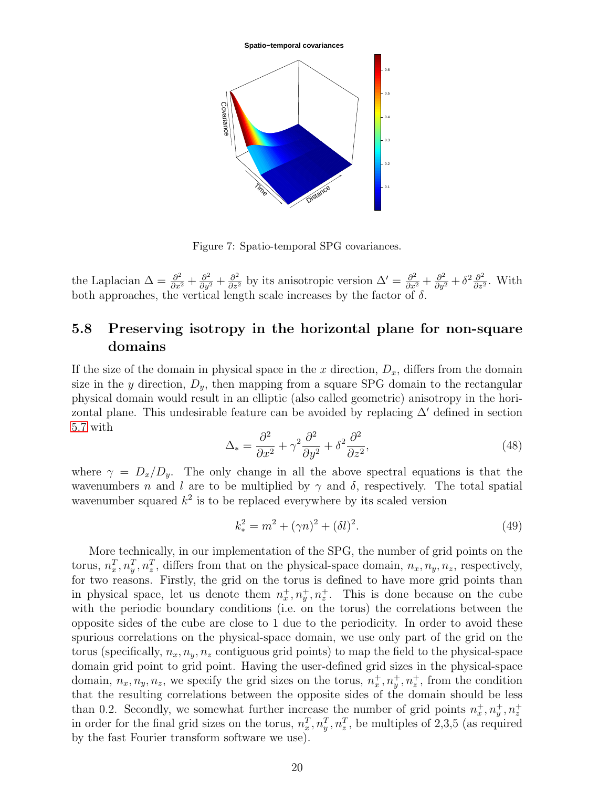<span id="page-19-1"></span>

Figure 7: Spatio-temporal SPG covariances.

the Laplacian  $\Delta = \frac{\partial^2}{\partial x^2} + \frac{\partial^2}{\partial y^2} + \frac{\partial^2}{\partial z^2}$  by its anisotropic version  $\Delta' = \frac{\partial^2}{\partial x^2} + \frac{\partial^2}{\partial y^2} + \delta^2 \frac{\partial^2}{\partial z^2}$  $\frac{\partial^2}{\partial z^2}$ . With both approaches, the vertical length scale increases by the factor of  $\delta$ .

## <span id="page-19-0"></span>5.8 Preserving isotropy in the horizontal plane for non-square domains

If the size of the domain in physical space in the x direction,  $D_x$ , differs from the domain size in the y direction,  $D_y$ , then mapping from a square SPG domain to the rectangular physical domain would result in an elliptic (also called geometric) anisotropy in the horizontal plane. This undesirable feature can be avoided by replacing  $\Delta'$  defined in section [5.7](#page-18-1) with

$$
\Delta_* = \frac{\partial^2}{\partial x^2} + \gamma^2 \frac{\partial^2}{\partial y^2} + \delta^2 \frac{\partial^2}{\partial z^2},\tag{48}
$$

where  $\gamma = D_x/D_y$ . The only change in all the above spectral equations is that the wavenumbers n and l are to be multiplied by  $\gamma$  and  $\delta$ , respectively. The total spatial wavenumber squared  $k^2$  is to be replaced everywhere by its scaled version

<span id="page-19-2"></span>
$$
k_*^2 = m^2 + (\gamma n)^2 + (\delta l)^2.
$$
 (49)

More technically, in our implementation of the SPG, the number of grid points on the torus,  $n_x^T, n_y^T, n_z^T$ , differs from that on the physical-space domain,  $n_x, n_y, n_z$ , respectively, for two reasons. Firstly, the grid on the torus is defined to have more grid points than in physical space, let us denote them  $n_x^+, n_y^+, n_z^+$ . This is done because on the cube with the periodic boundary conditions (i.e. on the torus) the correlations between the opposite sides of the cube are close to 1 due to the periodicity. In order to avoid these spurious correlations on the physical-space domain, we use only part of the grid on the torus (specifically,  $n_x, n_y, n_z$  contiguous grid points) to map the field to the physical-space domain grid point to grid point. Having the user-defined grid sizes in the physical-space domain,  $n_x, n_y, n_z$ , we specify the grid sizes on the torus,  $n_x^+, n_y^+, n_z^+$ , from the condition that the resulting correlations between the opposite sides of the domain should be less than 0.2. Secondly, we somewhat further increase the number of grid points  $n_x^+, n_y^+, n_z^+$ in order for the final grid sizes on the torus,  $n_x^T, n_y^T, n_z^T$ , be multiples of 2,3,5 (as required by the fast Fourier transform software we use).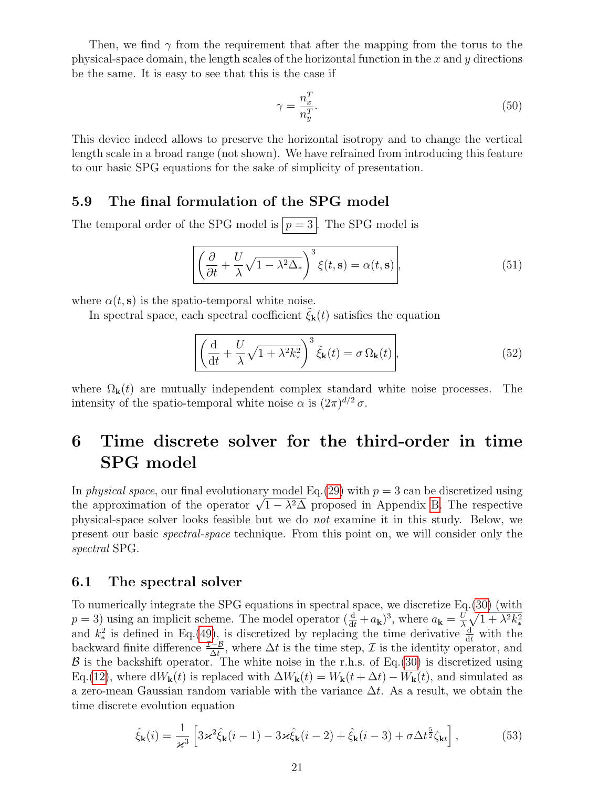Then, we find  $\gamma$  from the requirement that after the mapping from the torus to the physical-space domain, the length scales of the horizontal function in the  $x$  and  $y$  directions be the same. It is easy to see that this is the case if

$$
\gamma = \frac{n_x^T}{n_y^T}.\tag{50}
$$

This device indeed allows to preserve the horizontal isotropy and to change the vertical length scale in a broad range (not shown). We have refrained from introducing this feature to our basic SPG equations for the sake of simplicity of presentation.

### <span id="page-20-0"></span>5.9 The final formulation of the SPG model

The temporal order of the SPG model is  $p = 3$ . The SPG model is

$$
\left[ \left( \frac{\partial}{\partial t} + \frac{U}{\lambda} \sqrt{1 - \lambda^2 \Delta_*} \right)^3 \xi(t, \mathbf{s}) = \alpha(t, \mathbf{s}) \right],
$$
\n(51)

where  $\alpha(t, s)$  is the spatio-temporal white noise.

In spectral space, each spectral coefficient  $\xi_{\mathbf{k}}(t)$  satisfies the equation

$$
\left[ \left( \frac{\mathrm{d}}{\mathrm{d}t} + \frac{U}{\lambda} \sqrt{1 + \lambda^2 k_*^2} \right)^3 \tilde{\xi}_{\mathbf{k}}(t) = \sigma \, \Omega_{\mathbf{k}}(t) \right],\tag{52}
$$

where  $\Omega_{\mathbf{k}}(t)$  are mutually independent complex standard white noise processes. The intensity of the spatio-temporal white noise  $\alpha$  is  $(2\pi)^{d/2} \sigma$ .

# <span id="page-20-1"></span>6 Time discrete solver for the third-order in time SPG model

In *physical space*, our final evolutionary model Eq.[\(29\)](#page-13-6) with  $p = 3$  can be discretized using In physical space, our final evolutionary model Eq. (29) with  $p = 3$  can be discretized using<br>the approximation of the operator  $\sqrt{1 - \lambda^2 \Delta}$  proposed in Appendix [B.](#page-30-1) The respective physical-space solver looks feasible but we do not examine it in this study. Below, we present our basic spectral-space technique. From this point on, we will consider only the spectral SPG.

### <span id="page-20-2"></span>6.1 The spectral solver

To numerically integrate the SPG equations in spectral space, we discretize Eq.[\(30\)](#page-13-5) (with  $p = 3$ ) using an implicit scheme. The model operator  $(\frac{d}{dt} + a_k)^3$ , where  $a_k = \frac{U}{\lambda}$  $\frac{U}{\lambda}\sqrt{1+\lambda^2k_*^2}$ and  $k_*^2$  is defined in Eq.[\(49\)](#page-19-2), is discretized by replacing the time derivative  $\frac{d}{dt}$  with the backward finite difference  $\frac{\mathcal{I}-\mathcal{B}}{\Delta t}$ , where  $\Delta t$  is the time step,  $\mathcal{I}$  is the identity operator, and  $\beta$  is the backshift operator. The white noise in the r.h.s. of Eq.[\(30\)](#page-13-5) is discretized using Eq.[\(12\)](#page-11-7), where  $dW_{k}(t)$  is replaced with  $\Delta W_{k}(t) = W_{k}(t + \Delta t) - W_{k}(t)$ , and simulated as a zero-mean Gaussian random variable with the variance  $\Delta t$ . As a result, we obtain the time discrete evolution equation

<span id="page-20-3"></span>
$$
\hat{\xi}_{\mathbf{k}}(i) = \frac{1}{\varkappa^3} \left[ 3\varkappa^2 \hat{\xi}_{\mathbf{k}}(i-1) - 3\varkappa \hat{\xi}_{\mathbf{k}}(i-2) + \hat{\xi}_{\mathbf{k}}(i-3) + \sigma \Delta t^{\frac{5}{2}} \zeta_{\mathbf{k}t} \right],\tag{53}
$$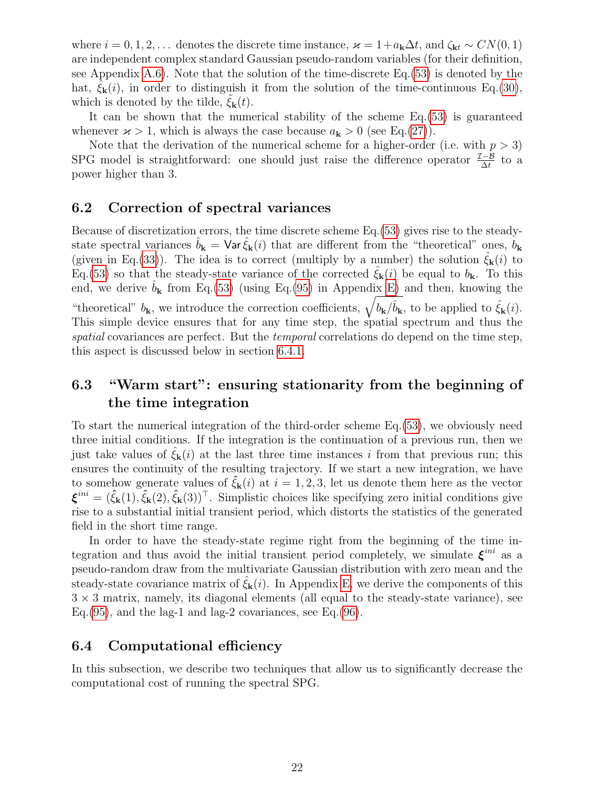where  $i = 0, 1, 2, \ldots$  denotes the discrete time instance,  $\varkappa = 1 + a_k \Delta t$ , and  $\zeta_{kt} \sim CN(0, 1)$ are independent complex standard Gaussian pseudo-random variables (for their definition, see Appendix [A.6\)](#page-30-0). Note that the solution of the time-discrete Eq.[\(53\)](#page-20-3) is denoted by the hat,  $\xi_{\mathbf{k}}(i)$ , in order to distinguish it from the solution of the time-continuous Eq.[\(30\)](#page-13-5), which is denoted by the tilde,  $\xi_{\mathbf{k}}(t)$ .

It can be shown that the numerical stability of the scheme Eq.[\(53\)](#page-20-3) is guaranteed whenever  $\varkappa > 1$ , which is always the case because  $a_{\mathbf{k}} > 0$  (see Eq.[\(27\)](#page-12-5)).

Note that the derivation of the numerical scheme for a higher-order (i.e. with  $p > 3$ ) SPG model is straightforward: one should just raise the difference operator  $\frac{\mathcal{I}-\mathcal{B}}{\Delta t}$  to a power higher than 3.

### <span id="page-21-0"></span>6.2 Correction of spectral variances

Because of discretization errors, the time discrete scheme Eq.[\(53\)](#page-20-3) gives rise to the steadystate spectral variances  $\hat{b}_{\mathbf{k}} = \text{Var} \hat{\xi}_{\mathbf{k}}(i)$  that are different from the "theoretical" ones,  $b_{\mathbf{k}}$ (given in Eq.[\(33\)](#page-14-4)). The idea is to correct (multiply by a number) the solution  $\xi_{\mathbf{k}}(i)$  to Eq.[\(53\)](#page-20-3) so that the steady-state variance of the corrected  $\zeta_{\bf k}(i)$  be equal to  $b_{\bf k}$ . To this end, we derive  $\hat{b}_{k}$  from Eq.[\(53\)](#page-20-3) (using Eq.[\(95\)](#page-36-11) in Appendix [E\)](#page-34-0) and then, knowing the "theoretical"  $b_{\mathbf{k}}$ , we introduce the correction coefficients,  $\sqrt{b_{\mathbf{k}}/\hat{b}_{\mathbf{k}}}$ , to be applied to  $\hat{\xi}_{\mathbf{k}}(i)$ . This simple device ensures that for any time step, the spatial spectrum and thus the spatial covariances are perfect. But the *temporal* correlations do depend on the time step, this aspect is discussed below in section [6.4.1.](#page-22-0)

# <span id="page-21-1"></span>6.3 "Warm start": ensuring stationarity from the beginning of the time integration

To start the numerical integration of the third-order scheme Eq.[\(53\)](#page-20-3), we obviously need three initial conditions. If the integration is the continuation of a previous run, then we just take values of  $\xi_{\mathbf{k}}(i)$  at the last three time instances i from that previous run; this ensures the continuity of the resulting trajectory. If we start a new integration, we have to somehow generate values of  $\hat{\xi}_{k}(i)$  at  $i = 1, 2, 3$ , let us denote them here as the vector  $\boldsymbol{\xi}^{ini} = (\hat{\zeta}_{\mathbf{k}}(1), \hat{\zeta}_{\mathbf{k}}(2), \hat{\zeta}_{\mathbf{k}}(3))^{\top}$ . Simplistic choices like specifying zero initial conditions give rise to a substantial initial transient period, which distorts the statistics of the generated field in the short time range.

In order to have the steady-state regime right from the beginning of the time integration and thus avoid the initial transient period completely, we simulate  $\xi^{ini}$  as a pseudo-random draw from the multivariate Gaussian distribution with zero mean and the steady-state covariance matrix of  $\xi_{\mathbf{k}}(i)$ . In Appendix [E,](#page-34-0) we derive the components of this  $3 \times 3$  matrix, namely, its diagonal elements (all equal to the steady-state variance), see Eq.  $(95)$ , and the lag-1 and lag-2 covariances, see Eq.  $(96)$ .

### <span id="page-21-2"></span>6.4 Computational efficiency

In this subsection, we describe two techniques that allow us to significantly decrease the computational cost of running the spectral SPG.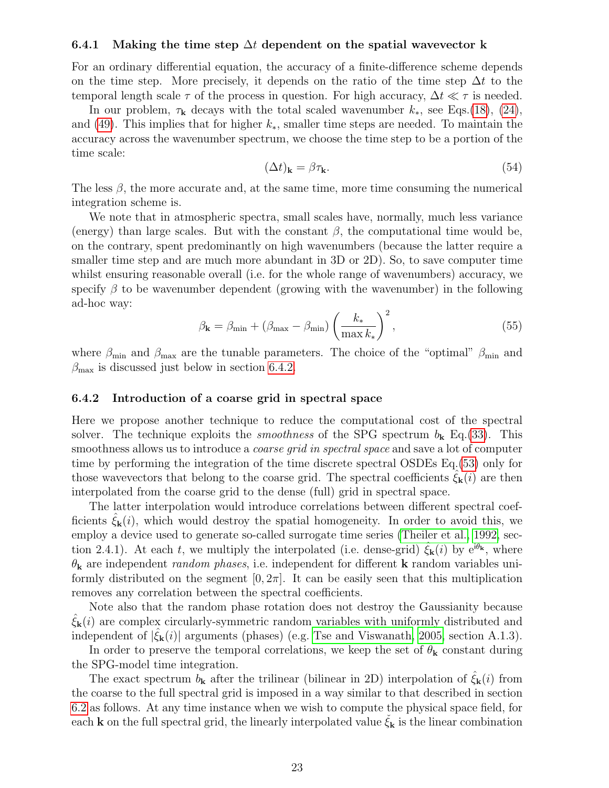#### <span id="page-22-0"></span>6.4.1 Making the time step  $\Delta t$  dependent on the spatial wavevector k

For an ordinary differential equation, the accuracy of a finite-difference scheme depends on the time step. More precisely, it depends on the ratio of the time step  $\Delta t$  to the temporal length scale  $\tau$  of the process in question. For high accuracy,  $\Delta t \ll \tau$  is needed.

In our problem,  $\tau_{\mathbf{k}}$  decays with the total scaled wavenumber  $k_*$ , see Eqs.[\(18\)](#page-11-4), [\(24\)](#page-12-4), and [\(49\)](#page-19-2). This implies that for higher  $k_{*}$ , smaller time steps are needed. To maintain the accuracy across the wavenumber spectrum, we choose the time step to be a portion of the time scale:

$$
(\Delta t)_{\mathbf{k}} = \beta \tau_{\mathbf{k}}.\tag{54}
$$

The less  $\beta$ , the more accurate and, at the same time, more time consuming the numerical integration scheme is.

We note that in atmospheric spectra, small scales have, normally, much less variance (energy) than large scales. But with the constant  $\beta$ , the computational time would be, on the contrary, spent predominantly on high wavenumbers (because the latter require a smaller time step and are much more abundant in 3D or 2D). So, to save computer time whilst ensuring reasonable overall (i.e. for the whole range of wavenumbers) accuracy, we specify  $\beta$  to be wavenumber dependent (growing with the wavenumber) in the following ad-hoc way:

$$
\beta_{\mathbf{k}} = \beta_{\min} + (\beta_{\max} - \beta_{\min}) \left(\frac{k_*}{\max k_*}\right)^2,\tag{55}
$$

where  $\beta_{\text{min}}$  and  $\beta_{\text{max}}$  are the tunable parameters. The choice of the "optimal"  $\beta_{\text{min}}$  and  $\beta_{\text{max}}$  is discussed just below in section [6.4.2.](#page-22-1)

#### <span id="page-22-1"></span>6.4.2 Introduction of a coarse grid in spectral space

Here we propose another technique to reduce the computational cost of the spectral solver. The technique exploits the *smoothness* of the SPG spectrum  $b_k$  Eq.[\(33\)](#page-14-4). This smoothness allows us to introduce a *coarse grid in spectral space* and save a lot of computer time by performing the integration of the time discrete spectral OSDEs Eq.[\(53\)](#page-20-3) only for those wavevectors that belong to the coarse grid. The spectral coefficients  $\xi_{\mathbf{k}}(i)$  are then interpolated from the coarse grid to the dense (full) grid in spectral space.

The latter interpolation would introduce correlations between different spectral coefficients  $\xi_{\mathbf{k}}(i)$ , which would destroy the spatial homogeneity. In order to avoid this, we employ a device used to generate so-called surrogate time series [\(Theiler et al., 1992,](#page-38-9) section 2.4.1). At each t, we multiply the interpolated (i.e. dense-grid)  $\xi_{\bf k}(i)$  by  $e^{i\theta_{\bf k}}$ , where  $\theta_{\mathbf{k}}$  are independent *random phases*, i.e. independent for different **k** random variables uniformly distributed on the segment  $[0, 2\pi]$ . It can be easily seen that this multiplication removes any correlation between the spectral coefficients.

Note also that the random phase rotation does not destroy the Gaussianity because  $\xi_{\mathbf{k}}(i)$  are complex circularly-symmetric random variables with uniformly distributed and independent of  $|\hat{\xi}_{\mathbf{k}}(i)|$  arguments (phases) (e.g. [Tse and Viswanath, 2005,](#page-38-10) section A.1.3).

In order to preserve the temporal correlations, we keep the set of  $\theta_{\mathbf{k}}$  constant during the SPG-model time integration.

The exact spectrum  $b_{\mathbf{k}}$  after the trilinear (bilinear in 2D) interpolation of  $\xi_{\mathbf{k}}(i)$  from the coarse to the full spectral grid is imposed in a way similar to that described in section [6.2](#page-21-0) as follows. At any time instance when we wish to compute the physical space field, for each **k** on the full spectral grid, the linearly interpolated value  $\xi_k$  is the linear combination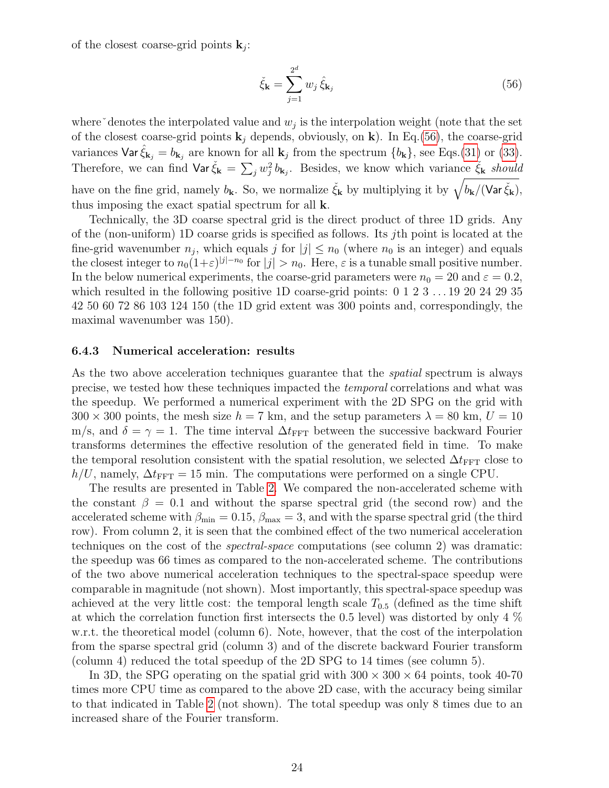of the closest coarse-grid points  $\mathbf{k}_j$ :

<span id="page-23-1"></span>
$$
\check{\xi}_{\mathbf{k}} = \sum_{j=1}^{2^d} w_j \, \hat{\xi}_{\mathbf{k}_j} \tag{56}
$$

where $\check{\ }$  denotes the interpolated value and  $w_j$  is the interpolation weight (note that the set of the closest coarse-grid points  $\mathbf{k}_j$  depends, obviously, on  $\mathbf{k}$ ). In Eq.[\(56\)](#page-23-1), the coarse-grid variances  $\text{Var } \hat{\xi}_{\mathbf{k}_j} = b_{\mathbf{k}_j}$  are known for all  $\mathbf{k}_j$  from the spectrum  $\{b_{\mathbf{k}}\}$ , see Eqs.[\(31\)](#page-14-2) or [\(33\)](#page-14-4). Therefore, we can find  $\text{Var} \check{\xi}_{\mathbf{k}} = \sum_j w_j^2 b_{\mathbf{k}_j}$ . Besides, we know which variance  $\check{\xi}_{\mathbf{k}}$  should have on the fine grid, namely  $b_{\bf k}$ . So, we normalize  $\check{\xi}_{\bf k}$  by multiplying it by  $\sqrt{b_{\bf k}/(\text{Var}\check{\xi}_{\bf k})}$ , thus imposing the exact spatial spectrum for all k.

Technically, the 3D coarse spectral grid is the direct product of three 1D grids. Any of the (non-uniform) 1D coarse grids is specified as follows. Its jth point is located at the fine-grid wavenumber  $n_j$ , which equals j for  $|j| \leq n_0$  (where  $n_0$  is an integer) and equals the closest integer to  $n_0(1+\varepsilon)^{|j|-n_0}$  for  $|j| > n_0$ . Here,  $\varepsilon$  is a tunable small positive number. In the below numerical experiments, the coarse-grid parameters were  $n_0 = 20$  and  $\varepsilon = 0.2$ , which resulted in the following positive 1D coarse-grid points: 0 1 2 3 . . . 19 20 24 29 35 42 50 60 72 86 103 124 150 (the 1D grid extent was 300 points and, correspondingly, the maximal wavenumber was 150).

#### <span id="page-23-0"></span>6.4.3 Numerical acceleration: results

As the two above acceleration techniques guarantee that the *spatial* spectrum is always precise, we tested how these techniques impacted the temporal correlations and what was the speedup. We performed a numerical experiment with the 2D SPG on the grid with  $300 \times 300$  points, the mesh size  $h = 7$  km, and the setup parameters  $\lambda = 80$  km,  $U = 10$ m/s, and  $\delta = \gamma = 1$ . The time interval  $\Delta t_{\text{FFT}}$  between the successive backward Fourier transforms determines the effective resolution of the generated field in time. To make the temporal resolution consistent with the spatial resolution, we selected  $\Delta t_{\text{FFT}}$  close to  $h/U$ , namely,  $\Delta t_{\text{FFT}} = 15$  min. The computations were performed on a single CPU.

The results are presented in Table [2.](#page-24-3) We compared the non-accelerated scheme with the constant  $\beta = 0.1$  and without the sparse spectral grid (the second row) and the accelerated scheme with  $\beta_{\min} = 0.15$ ,  $\beta_{\max} = 3$ , and with the sparse spectral grid (the third row). From column 2, it is seen that the combined effect of the two numerical acceleration techniques on the cost of the spectral-space computations (see column 2) was dramatic: the speedup was 66 times as compared to the non-accelerated scheme. The contributions of the two above numerical acceleration techniques to the spectral-space speedup were comparable in magnitude (not shown). Most importantly, this spectral-space speedup was achieved at the very little cost: the temporal length scale  $T_{0.5}$  (defined as the time shift at which the correlation function first intersects the 0.5 level) was distorted by only 4 % w.r.t. the theoretical model (column 6). Note, however, that the cost of the interpolation from the sparse spectral grid (column 3) and of the discrete backward Fourier transform (column 4) reduced the total speedup of the 2D SPG to 14 times (see column 5).

In 3D, the SPG operating on the spatial grid with  $300 \times 300 \times 64$  points, took 40-70 times more CPU time as compared to the above 2D case, with the accuracy being similar to that indicated in Table [2](#page-24-3) (not shown). The total speedup was only 8 times due to an increased share of the Fourier transform.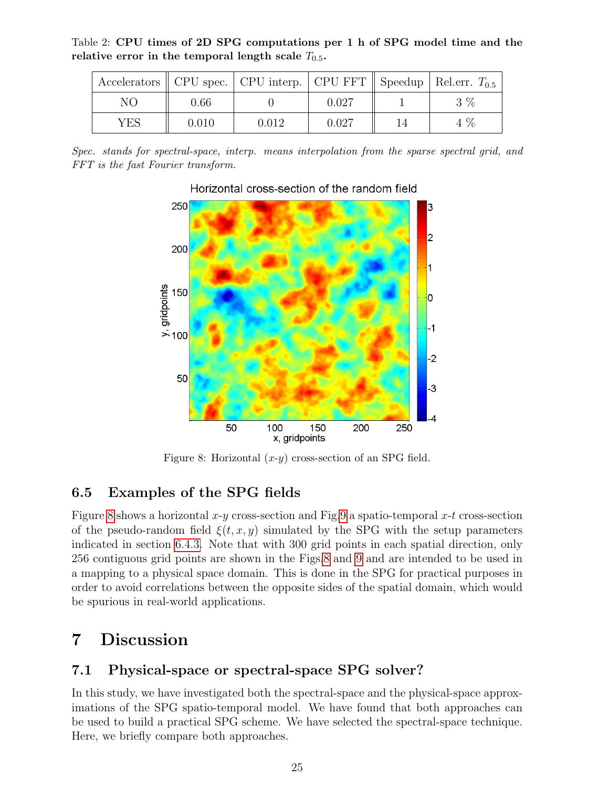<span id="page-24-3"></span>Table 2: CPU times of 2D SPG computations per 1 h of SPG model time and the relative error in the temporal length scale  $T_{0.5}$ .

|     |       | Accelerators    CPU spec.   CPU interp.   CPU FFT    Speedup   Rel.err. $T_{0.5}$ |       |       |
|-----|-------|-----------------------------------------------------------------------------------|-------|-------|
| NΟ  | 0.66  |                                                                                   | 0.027 | $3\%$ |
| YES | 0.010 | 0.012                                                                             | 0.027 | 4 %   |

<span id="page-24-4"></span>Spec. stands for spectral-space, interp. means interpolation from the sparse spectral grid, and FFT is the fast Fourier transform.



### Horizontal cross-section of the random field

Figure 8: Horizontal  $(x-y)$  cross-section of an SPG field.

## <span id="page-24-0"></span>6.5 Examples of the SPG fields

Figure [8](#page-24-4) shows a horizontal x-y cross-section and Fig[.9](#page-25-1) a spatio-temporal x-t cross-section of the pseudo-random field  $\xi(t, x, y)$  simulated by the SPG with the setup parameters indicated in section [6.4.3.](#page-23-0) Note that with 300 grid points in each spatial direction, only 256 contiguous grid points are shown in the Figs[.8](#page-24-4) and [9](#page-25-1) and are intended to be used in a mapping to a physical space domain. This is done in the SPG for practical purposes in order to avoid correlations between the opposite sides of the spatial domain, which would be spurious in real-world applications.

# <span id="page-24-1"></span>7 Discussion

## <span id="page-24-2"></span>7.1 Physical-space or spectral-space SPG solver?

In this study, we have investigated both the spectral-space and the physical-space approximations of the SPG spatio-temporal model. We have found that both approaches can be used to build a practical SPG scheme. We have selected the spectral-space technique. Here, we briefly compare both approaches.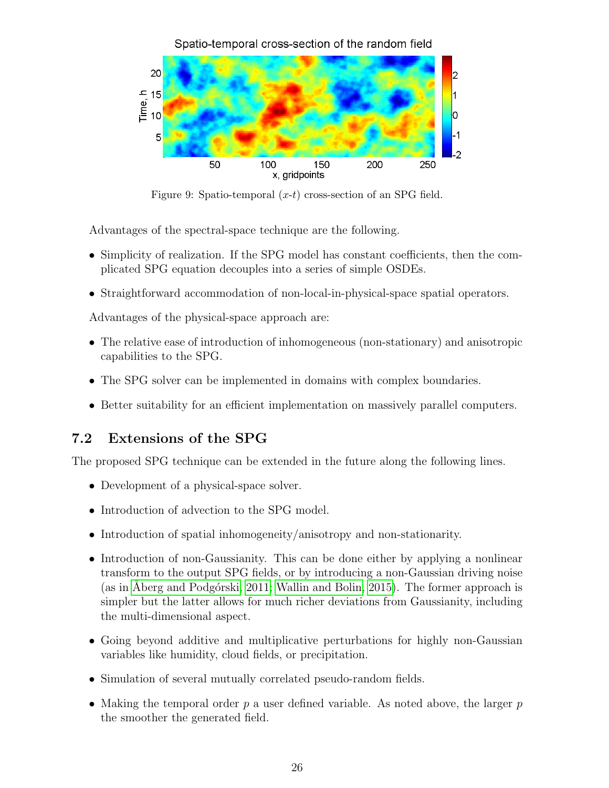<span id="page-25-1"></span>

Figure 9: Spatio-temporal  $(x-t)$  cross-section of an SPG field.

Advantages of the spectral-space technique are the following.

- Simplicity of realization. If the SPG model has constant coefficients, then the complicated SPG equation decouples into a series of simple OSDEs.
- Straightforward accommodation of non-local-in-physical-space spatial operators.

Advantages of the physical-space approach are:

- The relative ease of introduction of inhomogeneous (non-stationary) and anisotropic capabilities to the SPG.
- The SPG solver can be implemented in domains with complex boundaries.
- Better suitability for an efficient implementation on massively parallel computers.

# <span id="page-25-0"></span>7.2 Extensions of the SPG

The proposed SPG technique can be extended in the future along the following lines.

- Development of a physical-space solver.
- Introduction of advection to the SPG model.
- Introduction of spatial inhomogeneity/anisotropy and non-stationarity.
- Introduction of non-Gaussianity. This can be done either by applying a nonlinear transform to the output SPG fields, or by introducing a non-Gaussian driving noise (as in Åberg and Podgórski, 2011; [Wallin and Bolin, 2015\)](#page-38-6). The former approach is simpler but the latter allows for much richer deviations from Gaussianity, including the multi-dimensional aspect.
- Going beyond additive and multiplicative perturbations for highly non-Gaussian variables like humidity, cloud fields, or precipitation.
- Simulation of several mutually correlated pseudo-random fields.
- Making the temporal order  $p$  a user defined variable. As noted above, the larger  $p$ the smoother the generated field.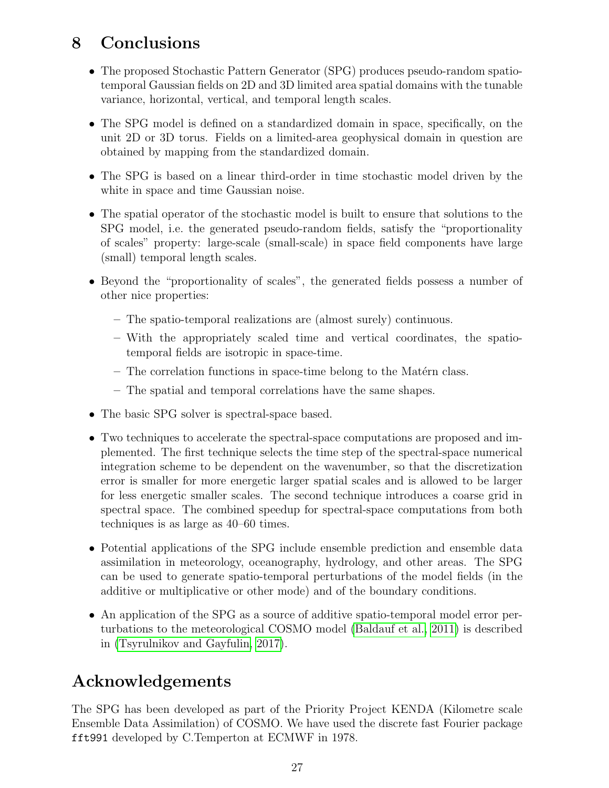# <span id="page-26-0"></span>8 Conclusions

- The proposed Stochastic Pattern Generator (SPG) produces pseudo-random spatiotemporal Gaussian fields on 2D and 3D limited area spatial domains with the tunable variance, horizontal, vertical, and temporal length scales.
- The SPG model is defined on a standardized domain in space, specifically, on the unit 2D or 3D torus. Fields on a limited-area geophysical domain in question are obtained by mapping from the standardized domain.
- The SPG is based on a linear third-order in time stochastic model driven by the white in space and time Gaussian noise.
- The spatial operator of the stochastic model is built to ensure that solutions to the SPG model, i.e. the generated pseudo-random fields, satisfy the "proportionality of scales" property: large-scale (small-scale) in space field components have large (small) temporal length scales.
- Beyond the "proportionality of scales", the generated fields possess a number of other nice properties:
	- The spatio-temporal realizations are (almost surely) continuous.
	- With the appropriately scaled time and vertical coordinates, the spatiotemporal fields are isotropic in space-time.
	- $-$  The correlation functions in space-time belong to the Matérn class.
	- The spatial and temporal correlations have the same shapes.
- The basic SPG solver is spectral-space based.
- Two techniques to accelerate the spectral-space computations are proposed and implemented. The first technique selects the time step of the spectral-space numerical integration scheme to be dependent on the wavenumber, so that the discretization error is smaller for more energetic larger spatial scales and is allowed to be larger for less energetic smaller scales. The second technique introduces a coarse grid in spectral space. The combined speedup for spectral-space computations from both techniques is as large as 40–60 times.
- Potential applications of the SPG include ensemble prediction and ensemble data assimilation in meteorology, oceanography, hydrology, and other areas. The SPG can be used to generate spatio-temporal perturbations of the model fields (in the additive or multiplicative or other mode) and of the boundary conditions.
- An application of the SPG as a source of additive spatio-temporal model error perturbations to the meteorological COSMO model [\(Baldauf et al., 2011\)](#page-36-13) is described in [\(Tsyrulnikov and Gayfulin, 2017\)](#page-38-0).

# <span id="page-26-1"></span>Acknowledgements

The SPG has been developed as part of the Priority Project KENDA (Kilometre scale Ensemble Data Assimilation) of COSMO. We have used the discrete fast Fourier package fft991 developed by C.Temperton at ECMWF in 1978.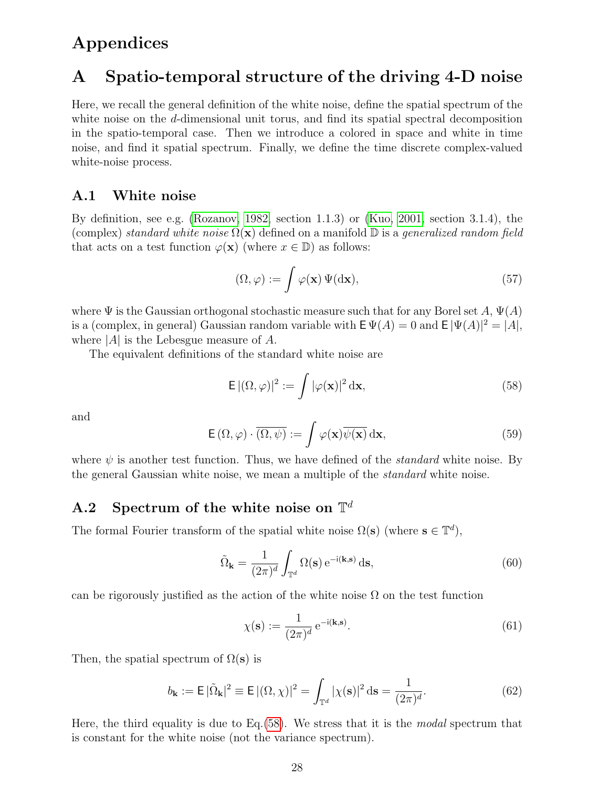# <span id="page-27-0"></span>Appendices

# <span id="page-27-1"></span>A Spatio-temporal structure of the driving 4-D noise

Here, we recall the general definition of the white noise, define the spatial spectrum of the white noise on the d-dimensional unit torus, and find its spatial spectral decomposition in the spatio-temporal case. Then we introduce a colored in space and white in time noise, and find it spatial spectrum. Finally, we define the time discrete complex-valued white-noise process.

### <span id="page-27-2"></span>A.1 White noise

By definition, see e.g. [\(Rozanov, 1982,](#page-37-15) section 1.1.3) or [\(Kuo, 2001,](#page-37-16) section 3.1.4), the (complex) standard white noise  $\Omega(\mathbf{x})$  defined on a manifold  $\mathbb{D}$  is a generalized random field that acts on a test function  $\varphi(\mathbf{x})$  (where  $x \in \mathbb{D}$ ) as follows:

$$
(\Omega, \varphi) := \int \varphi(\mathbf{x}) \, \Psi(\mathrm{d}\mathbf{x}),\tag{57}
$$

where  $\Psi$  is the Gaussian orthogonal stochastic measure such that for any Borel set A,  $\Psi(A)$ is a (complex, in general) Gaussian random variable with  $E \Psi(A) = 0$  and  $E |\Psi(A)|^2 = |A|$ , where  $|A|$  is the Lebesgue measure of A.

The equivalent definitions of the standard white noise are

<span id="page-27-4"></span>
$$
\mathsf{E}\, |(\Omega,\varphi)|^2 := \int |\varphi(\mathbf{x})|^2 \, \mathrm{d}\mathbf{x},\tag{58}
$$

<span id="page-27-5"></span>and

$$
\mathsf{E}\left(\Omega,\varphi\right)\cdot\overline{\left(\Omega,\psi\right)}:=\int\varphi(\mathbf{x})\overline{\psi(\mathbf{x})}\,\mathrm{d}\mathbf{x},\tag{59}
$$

where  $\psi$  is another test function. Thus, we have defined of the *standard* white noise. By the general Gaussian white noise, we mean a multiple of the standard white noise.

# <span id="page-27-3"></span>A.2 Spectrum of the white noise on  $\mathbb{T}^d$

The formal Fourier transform of the spatial white noise  $\Omega(s)$  (where  $s \in \mathbb{T}^d$ ),

$$
\tilde{\Omega}_{\mathbf{k}} = \frac{1}{(2\pi)^d} \int_{\mathbb{T}^d} \Omega(\mathbf{s}) e^{-i(\mathbf{k}, \mathbf{s})} d\mathbf{s},\tag{60}
$$

can be rigorously justified as the action of the white noise  $\Omega$  on the test function

$$
\chi(\mathbf{s}) := \frac{1}{(2\pi)^d} e^{-i(\mathbf{k}, \mathbf{s})}.
$$
\n(61)

Then, the spatial spectrum of  $\Omega(s)$  is

$$
b_{\mathbf{k}} := \mathsf{E} \, |\tilde{\Omega}_{\mathbf{k}}|^2 \equiv \mathsf{E} \, |(\Omega, \chi)|^2 = \int_{\mathbb{T}^d} |\chi(\mathbf{s})|^2 \, \mathrm{d}\mathbf{s} = \frac{1}{(2\pi)^d}.
$$
 (62)

Here, the third equality is due to Eq.  $(58)$ . We stress that it is the *modal* spectrum that is constant for the white noise (not the variance spectrum).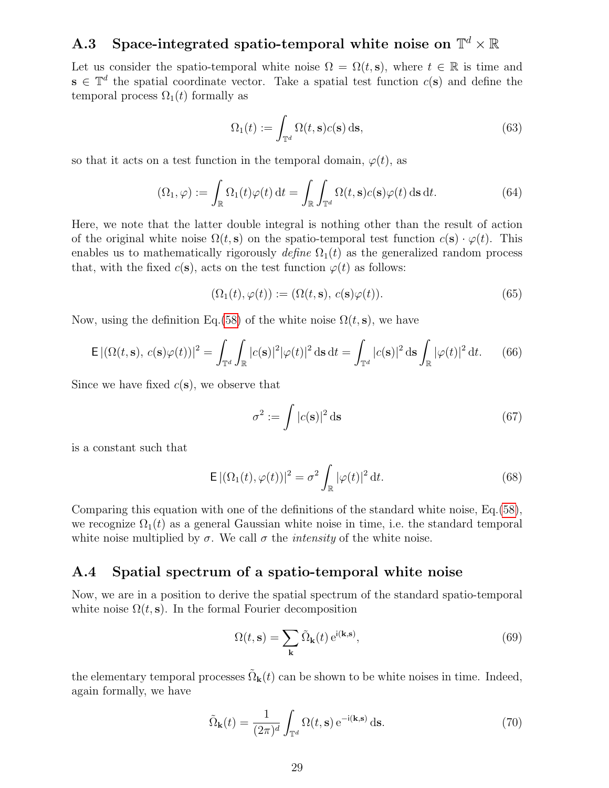# <span id="page-28-0"></span> $\mathbf{A.3}$  Space-integrated spatio-temporal white noise on  $\mathbb{T}^d \times \mathbb{R}$

Let us consider the spatio-temporal white noise  $\Omega = \Omega(t, s)$ , where  $t \in \mathbb{R}$  is time and  $\mathbf{s} \in \mathbb{T}^d$  the spatial coordinate vector. Take a spatial test function  $c(\mathbf{s})$  and define the temporal process  $\Omega_1(t)$  formally as

<span id="page-28-2"></span>
$$
\Omega_1(t) := \int_{\mathbb{T}^d} \Omega(t, \mathbf{s}) c(\mathbf{s}) \, \mathrm{d}\mathbf{s},\tag{63}
$$

so that it acts on a test function in the temporal domain,  $\varphi(t)$ , as

$$
(\Omega_1, \varphi) := \int_{\mathbb{R}} \Omega_1(t) \varphi(t) dt = \int_{\mathbb{R}} \int_{\mathbb{T}^d} \Omega(t, \mathbf{s}) c(\mathbf{s}) \varphi(t) d\mathbf{s} dt.
$$
 (64)

Here, we note that the latter double integral is nothing other than the result of action of the original white noise  $\Omega(t, s)$  on the spatio-temporal test function  $c(s) \cdot \varphi(t)$ . This enables us to mathematically rigorously define  $\Omega_1(t)$  as the generalized random process that, with the fixed  $c(s)$ , acts on the test function  $\varphi(t)$  as follows:

<span id="page-28-5"></span>
$$
(\Omega_1(t), \varphi(t)) := (\Omega(t, \mathbf{s}), c(\mathbf{s})\varphi(t)).
$$
\n(65)

Now, using the definition Eq.[\(58\)](#page-27-4) of the white noise  $\Omega(t, s)$ , we have

$$
\mathsf{E}\left| \left( \Omega(t,\mathbf{s}), \, c(\mathbf{s})\varphi(t) \right) \right|^2 = \int_{\mathbb{T}^d} \int_{\mathbb{R}} |c(\mathbf{s})|^2 |\varphi(t)|^2 \, \mathrm{d}\mathbf{s} \, \mathrm{d}t = \int_{\mathbb{T}^d} |c(\mathbf{s})|^2 \, \mathrm{d}\mathbf{s} \int_{\mathbb{R}} |\varphi(t)|^2 \, \mathrm{d}t. \tag{66}
$$

Since we have fixed  $c(s)$ , we observe that

$$
\sigma^2 := \int |c(\mathbf{s})|^2 \, \mathrm{d}\mathbf{s} \tag{67}
$$

is a constant such that

<span id="page-28-3"></span>
$$
\mathsf{E}\left| \left( \Omega_1(t), \varphi(t) \right) \right|^2 = \sigma^2 \int_{\mathbb{R}} |\varphi(t)|^2 \, \mathrm{d}t. \tag{68}
$$

Comparing this equation with one of the definitions of the standard white noise, Eq.[\(58\)](#page-27-4), we recognize  $\Omega_1(t)$  as a general Gaussian white noise in time, i.e. the standard temporal white noise multiplied by  $\sigma$ . We call  $\sigma$  the *intensity* of the white noise.

### <span id="page-28-1"></span>A.4 Spatial spectrum of a spatio-temporal white noise

Now, we are in a position to derive the spatial spectrum of the standard spatio-temporal white noise  $\Omega(t, s)$ . In the formal Fourier decomposition

$$
\Omega(t, \mathbf{s}) = \sum_{\mathbf{k}} \tilde{\Omega}_{\mathbf{k}}(t) e^{i(\mathbf{k}, \mathbf{s})},\tag{69}
$$

the elementary temporal processes  $\tilde{\Omega}_{\bf k}(t)$  can be shown to be white noises in time. Indeed, again formally, we have

<span id="page-28-4"></span>
$$
\tilde{\Omega}_{\mathbf{k}}(t) = \frac{1}{(2\pi)^d} \int_{\mathbb{T}^d} \Omega(t, \mathbf{s}) e^{-i(\mathbf{k}, \mathbf{s})} d\mathbf{s}.
$$
 (70)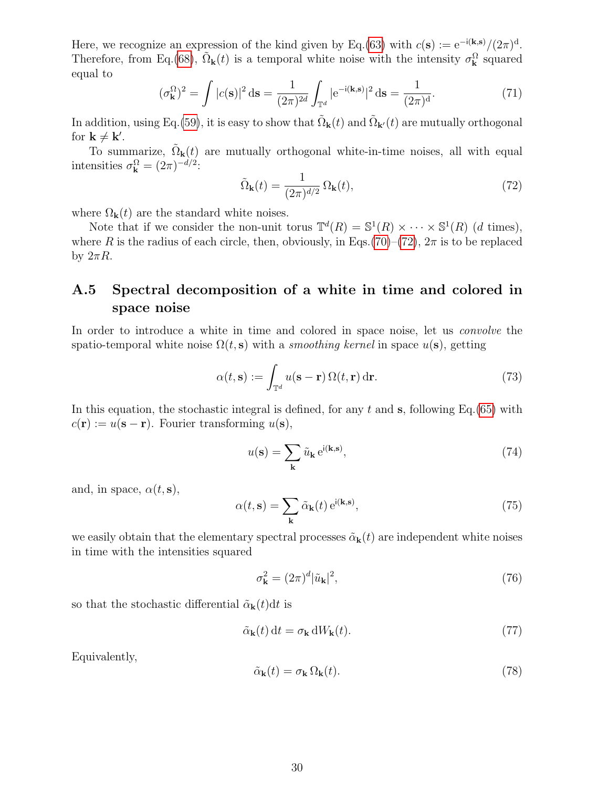Here, we recognize an expression of the kind given by Eq.[\(63\)](#page-28-2) with  $c(s) := e^{-i(k,s)}/(2\pi)^d$ . Therefore, from Eq.[\(68\)](#page-28-3),  $\tilde{\Omega}_{\bf k}(t)$  is a temporal white noise with the intensity  $\sigma_{\bf k}^{\Omega}$  squared equal to

$$
(\sigma_{\mathbf{k}}^{\Omega})^2 = \int |c(\mathbf{s})|^2 \,\mathrm{d}\mathbf{s} = \frac{1}{(2\pi)^{2d}} \int_{\mathbb{T}^d} |e^{-i(\mathbf{k}, \mathbf{s})}|^2 \,\mathrm{d}\mathbf{s} = \frac{1}{(2\pi)^d}.\tag{71}
$$

In addition, using Eq.[\(59\)](#page-27-5), it is easy to show that  $\tilde{\Omega}_{{\bf k}}(t)$  and  $\tilde{\Omega}_{{\bf k}'}(t)$  are mutually orthogonal for  $\mathbf{k} \neq \mathbf{k}'$ .

To summarize,  $\tilde{\Omega}_{\mathbf{k}}(t)$  are mutually orthogonal white-in-time noises, all with equal intensities  $\sigma_{\mathbf{k}}^{\Omega} = (2\pi)^{-d/2}$ :

<span id="page-29-1"></span>
$$
\tilde{\Omega}_{\mathbf{k}}(t) = \frac{1}{(2\pi)^{d/2}} \Omega_{\mathbf{k}}(t),\tag{72}
$$

where  $\Omega_{\mathbf{k}}(t)$  are the standard white noises.

Note that if we consider the non-unit torus  $\mathbb{T}^d(R) = \mathbb{S}^1(R) \times \cdots \times \mathbb{S}^1(R)$  (d times), where R is the radius of each circle, then, obviously, in Eqs.[\(70\)](#page-28-4)–[\(72\)](#page-29-1),  $2\pi$  is to be replaced by  $2\pi R$ .

# <span id="page-29-0"></span>A.5 Spectral decomposition of a white in time and colored in space noise

In order to introduce a white in time and colored in space noise, let us *convolve* the spatio-temporal white noise  $\Omega(t, s)$  with a *smoothing kernel* in space  $u(s)$ , getting

$$
\alpha(t, \mathbf{s}) := \int_{\mathbb{T}^d} u(\mathbf{s} - \mathbf{r}) \,\Omega(t, \mathbf{r}) \,\mathrm{d}\mathbf{r}.\tag{73}
$$

In this equation, the stochastic integral is defined, for any t and s, following Eq.[\(65\)](#page-28-5) with  $c(\mathbf{r}) := u(\mathbf{s} - \mathbf{r})$ . Fourier transforming  $u(\mathbf{s})$ ,

$$
u(\mathbf{s}) = \sum_{\mathbf{k}} \tilde{u}_{\mathbf{k}} e^{i(\mathbf{k}, \mathbf{s})},\tag{74}
$$

and, in space,  $\alpha(t, s)$ ,

$$
\alpha(t, \mathbf{s}) = \sum_{\mathbf{k}} \tilde{\alpha}_{\mathbf{k}}(t) e^{i(\mathbf{k}, \mathbf{s})},\tag{75}
$$

we easily obtain that the elementary spectral processes  $\tilde{\alpha}_{k}(t)$  are independent white noises in time with the intensities squared

<span id="page-29-2"></span>
$$
\sigma_{\mathbf{k}}^2 = (2\pi)^d |\tilde{u}_{\mathbf{k}}|^2,\tag{76}
$$

so that the stochastic differential  $\tilde{\alpha}_{\bf k}(t)dt$  is

$$
\tilde{\alpha}_{\mathbf{k}}(t) dt = \sigma_{\mathbf{k}} dW_{\mathbf{k}}(t). \tag{77}
$$

Equivalently,

$$
\tilde{\alpha}_{\mathbf{k}}(t) = \sigma_{\mathbf{k}} \,\Omega_{\mathbf{k}}(t). \tag{78}
$$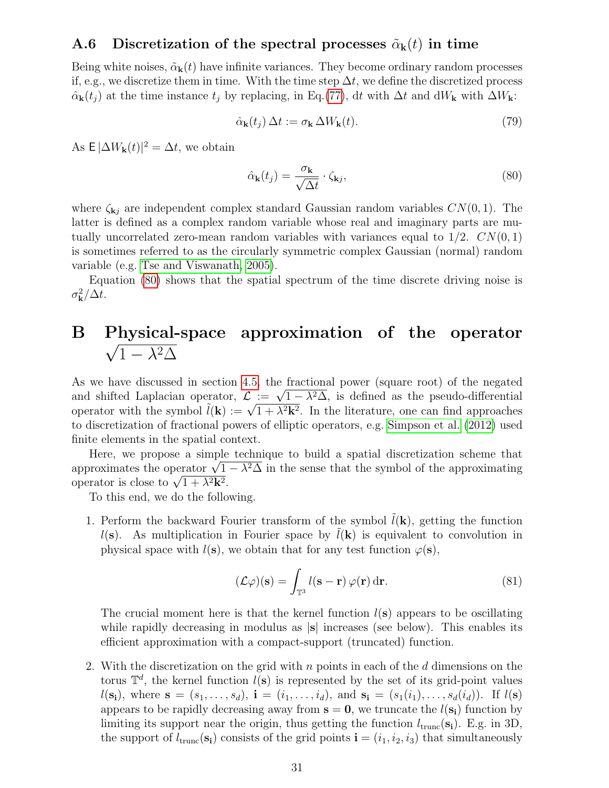### <span id="page-30-0"></span>A.6 Discretization of the spectral processes  $\tilde{\alpha}_{k}(t)$  in time

Being white noises,  $\tilde{\alpha}_{k}(t)$  have infinite variances. They become ordinary random processes if, e.g., we discretize them in time. With the time step  $\Delta t$ , we define the discretized process  $\hat{\alpha}_{\mathbf{k}}(t_j)$  at the time instance  $t_j$  by replacing, in Eq.[\(77\)](#page-29-2), dt with  $\Delta t$  and dW<sub>k</sub> with  $\Delta W_{\mathbf{k}}$ :

<span id="page-30-2"></span>
$$
\hat{\alpha}_{\mathbf{k}}(t_j) \Delta t := \sigma_{\mathbf{k}} \Delta W_{\mathbf{k}}(t). \tag{79}
$$

As  $E |\Delta W_{\mathbf{k}}(t)|^2 = \Delta t$ , we obtain

$$
\hat{\alpha}_{\mathbf{k}}(t_j) = \frac{\sigma_{\mathbf{k}}}{\sqrt{\Delta t}} \cdot \zeta_{\mathbf{k}j},\tag{80}
$$

where  $\zeta_{\mathbf{k}i}$  are independent complex standard Gaussian random variables  $CN(0, 1)$ . The latter is defined as a complex random variable whose real and imaginary parts are mutually uncorrelated zero-mean random variables with variances equal to  $1/2$ .  $CN(0, 1)$ is sometimes referred to as the circularly symmetric complex Gaussian (normal) random variable (e.g. [Tse and Viswanath, 2005\)](#page-38-10).

Equation [\(80\)](#page-30-2) shows that the spatial spectrum of the time discrete driving noise is  $\sigma_{\bf k}^2/\Delta t$ .

# <span id="page-30-1"></span>B Physical-space approximation of the operator  $1 - \lambda^2 \Delta$

As we have discussed in section [4.5,](#page-12-1) the fractional power (square root) of the negated As we nave discussed in section 4.5, the fractional power (square root) of the negated<br>and shifted Laplacian operator,  $\mathcal{L} := \sqrt{1 - \lambda^2 \Delta}$ , is defined as the pseudo-differential and smitted Lapiacian operator,  $\mathcal{L} := \sqrt{1 - \lambda^2} \Delta$ , is defined as the pseudo-differential<br>operator with the symbol  $\tilde{l}(\mathbf{k}) := \sqrt{1 + \lambda^2 \mathbf{k}^2}$ . In the literature, one can find approaches to discretization of fractional powers of elliptic operators, e.g. [Simpson et al.](#page-37-17) [\(2012\)](#page-37-17) used finite elements in the spatial context.

Here, we propose a simple technique to build a spatial discretization scheme that here, we propose a simple technique to build a spatial discretization scheme that approximates the operator  $\sqrt{1 - \lambda^2 \Delta}$  in the sense that the symbol of the approximating approximates the operator  $\sqrt{1 + \lambda^2 \mathbf{k}^2}$ .

To this end, we do the following.

1. Perform the backward Fourier transform of the symbol  $\tilde{l}(\mathbf{k})$ , getting the function  $l(s)$ . As multiplication in Fourier space by  $l(k)$  is equivalent to convolution in physical space with  $l(s)$ , we obtain that for any test function  $\varphi(s)$ ,

$$
(\mathcal{L}\varphi)(s) = \int_{\mathbb{T}^3} l(s - r) \varphi(r) dr.
$$
 (81)

The crucial moment here is that the kernel function  $l(s)$  appears to be oscillating while rapidly decreasing in modulus as  $|s|$  increases (see below). This enables its efficient approximation with a compact-support (truncated) function.

2. With the discretization on the grid with  $n$  points in each of the  $d$  dimensions on the torus  $\mathbb{T}^d$ , the kernel function  $l(\mathbf{s})$  is represented by the set of its grid-point values  $l(\mathbf{s_i})$ , where  $\mathbf{s} = (s_1, \ldots, s_d)$ ,  $\mathbf{i} = (i_1, \ldots, i_d)$ , and  $\mathbf{s_i} = (s_1(i_1), \ldots, s_d(i_d))$ . If  $l(\mathbf{s})$ appears to be rapidly decreasing away from  $s = 0$ , we truncate the  $l(s_i)$  function by limiting its support near the origin, thus getting the function  $l_{\text{trunc}}(\mathbf{s_i})$ . E.g. in 3D, the support of  $l_{\text{trunc}}(\mathbf{s_i})$  consists of the grid points  $\mathbf{i} = (i_1, i_2, i_3)$  that simultaneously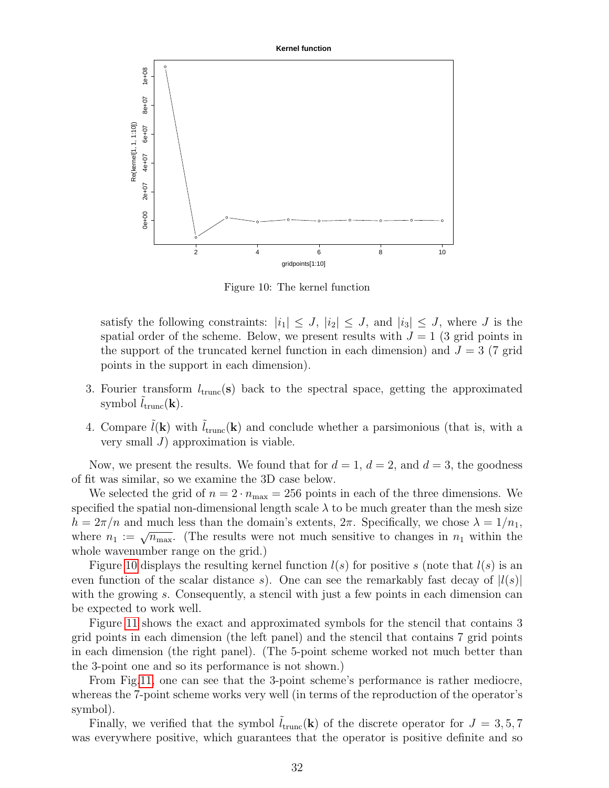<span id="page-31-0"></span>

Figure 10: The kernel function

satisfy the following constraints:  $|i_1| \leq J$ ,  $|i_2| \leq J$ , and  $|i_3| \leq J$ , where J is the spatial order of the scheme. Below, we present results with  $J = 1$  (3 grid points in the support of the truncated kernel function in each dimension) and  $J = 3$  (7 grid points in the support in each dimension).

- 3. Fourier transform  $l_{\text{trunc}}(\mathbf{s})$  back to the spectral space, getting the approximated symbol  $l_{\text{trunc}}(\mathbf{k})$ .
- 4. Compare  $\hat{l}(\mathbf{k})$  with  $\hat{l}_{trunc}(\mathbf{k})$  and conclude whether a parsimonious (that is, with a very small  $J$ ) approximation is viable.

Now, we present the results. We found that for  $d = 1, d = 2$ , and  $d = 3$ , the goodness of fit was similar, so we examine the 3D case below.

We selected the grid of  $n = 2 \cdot n_{\text{max}} = 256$  points in each of the three dimensions. We specified the spatial non-dimensional length scale  $\lambda$  to be much greater than the mesh size  $h = 2\pi/n$  and much less than the domain's extents,  $2\pi$ . Specifically, we chose  $\lambda = 1/n_1$ , where  $n_1 := \sqrt{n_{\text{max}}}.$  (The results were not much sensitive to changes in  $n_1$  within the whole wavenumber range on the grid.)

Figure [10](#page-31-0) displays the resulting kernel function  $l(s)$  for positive s (note that  $l(s)$  is an even function of the scalar distance s). One can see the remarkably fast decay of  $|l(s)|$ with the growing s. Consequently, a stencil with just a few points in each dimension can be expected to work well.

Figure [11](#page-32-1) shows the exact and approximated symbols for the stencil that contains 3 grid points in each dimension (the left panel) and the stencil that contains 7 grid points in each dimension (the right panel). (The 5-point scheme worked not much better than the 3-point one and so its performance is not shown.)

From Fig[.11,](#page-32-1) one can see that the 3-point scheme's performance is rather mediocre, whereas the 7-point scheme works very well (in terms of the reproduction of the operator's symbol).

Finally, we verified that the symbol  $\tilde{l}_{trunc}(\mathbf{k})$  of the discrete operator for  $J = 3, 5, 7$ was everywhere positive, which guarantees that the operator is positive definite and so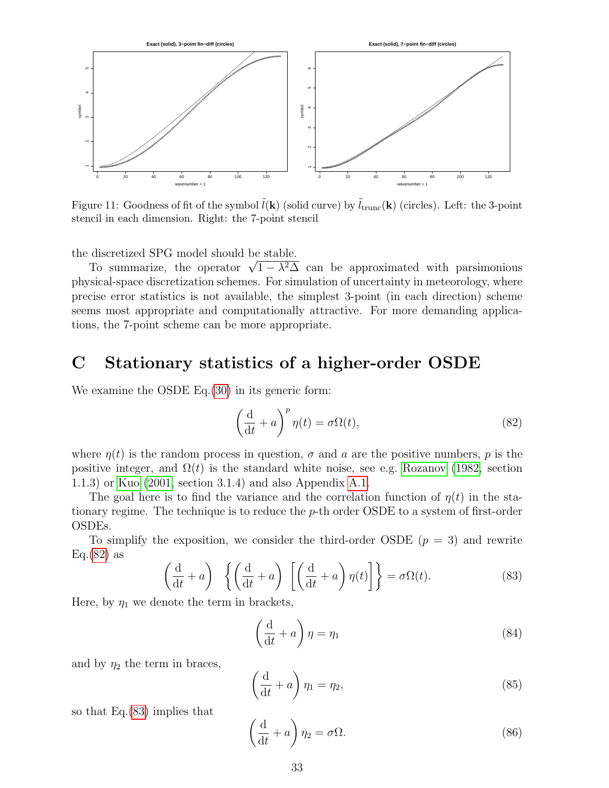<span id="page-32-1"></span>

Figure 11: Goodness of fit of the symbol  $\tilde{l}(\mathbf{k})$  (solid curve) by  $\tilde{l}_{trunc}(\mathbf{k})$  (circles). Left: the 3-point stencil in each dimension. Right: the 7-point stencil

the discretized SPG model should be stable.

discretized SPG model should be stable.<br>To summarize, the operator  $\sqrt{1 - \lambda^2 \Delta}$  can be approximated with parsimonious physical-space discretization schemes. For simulation of uncertainty in meteorology, where precise error statistics is not available, the simplest 3-point (in each direction) scheme seems most appropriate and computationally attractive. For more demanding applications, the 7-point scheme can be more appropriate.

# <span id="page-32-0"></span>C Stationary statistics of a higher-order OSDE

We examine the OSDE Eq.  $(30)$  in its generic form:

<span id="page-32-2"></span>
$$
\left(\frac{\mathrm{d}}{\mathrm{d}t} + a\right)^p \eta(t) = \sigma \Omega(t),\tag{82}
$$

where  $\eta(t)$  is the random process in question,  $\sigma$  and  $a$  are the positive numbers,  $p$  is the positive integer, and  $\Omega(t)$  is the standard white noise, see e.g. [Rozanov](#page-37-15) [\(1982,](#page-37-15) section 1.1.3) or [Kuo](#page-37-16) [\(2001,](#page-37-16) section 3.1.4) and also Appendix [A.1.](#page-27-2)

The goal here is to find the variance and the correlation function of  $\eta(t)$  in the stationary regime. The technique is to reduce the  $p$ -th order OSDE to a system of first-order OSDEs.

To simplify the exposition, we consider the third-order OSDE  $(p = 3)$  and rewrite  $Eq.(82)$  $Eq.(82)$  as

<span id="page-32-3"></span>
$$
\left(\frac{d}{dt} + a\right) \left\{ \left(\frac{d}{dt} + a\right) \left[ \left(\frac{d}{dt} + a\right) \eta(t) \right] \right\} = \sigma \Omega(t). \tag{83}
$$

Here, by  $\eta_1$  we denote the term in brackets,

<span id="page-32-4"></span>
$$
\left(\frac{\mathrm{d}}{\mathrm{d}t} + a\right)\eta = \eta_1\tag{84}
$$

and by  $\eta_2$  the term in braces,

$$
\left(\frac{\mathrm{d}}{\mathrm{d}t} + a\right)\eta_1 = \eta_2,\tag{85}
$$

so that Eq.[\(83\)](#page-32-3) implies that

<span id="page-32-5"></span>
$$
\left(\frac{\mathrm{d}}{\mathrm{d}t} + a\right)\eta_2 = \sigma\Omega. \tag{86}
$$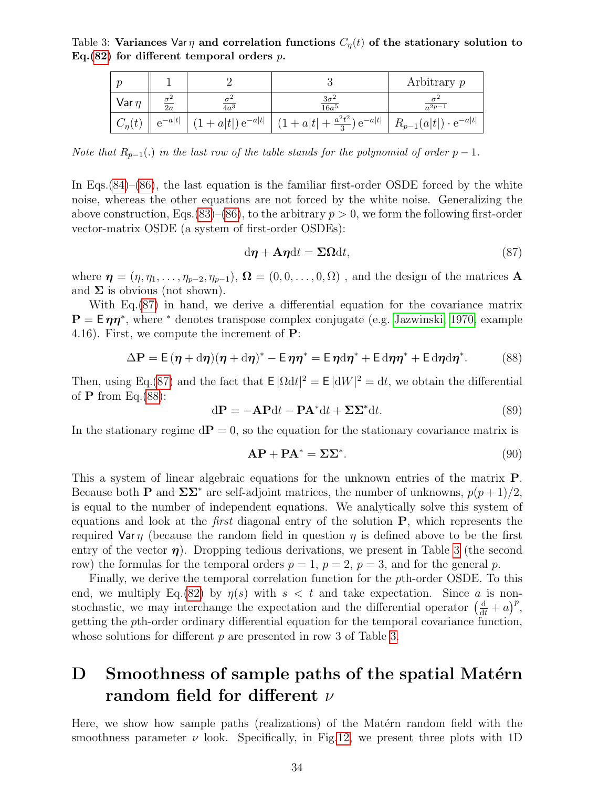<span id="page-33-1"></span>Table 3: Variances Var  $\eta$  and correlation functions  $C_{\eta}(t)$  of the stationary solution to Eq.[\(82\)](#page-32-2) for different temporal orders  $p$ .

|               |         |                        |                                      | Arbitrary $p$                     |
|---------------|---------|------------------------|--------------------------------------|-----------------------------------|
| Var $n$       | 2a      | $4a^3$                 | $\frac{3\sigma^2}{16a^5}$            | $a^2p-1$                          |
| $C_{\eta}(t)$ | $-a t $ | $+ a t $ ) $e^{-a t }$ | $(1+a t +\frac{a^2t^2}{3})e^{-a t }$ | $+ R_{p-1}(a t ) \cdot e^{-a t }$ |

Note that  $R_{p-1}(.)$  in the last row of the table stands for the polynomial of order  $p-1$ .

In Eqs.[\(84\)](#page-32-4)–[\(86\)](#page-32-5), the last equation is the familiar first-order OSDE forced by the white noise, whereas the other equations are not forced by the white noise. Generalizing the above construction, Eqs.[\(83\)](#page-32-3)–[\(86\)](#page-32-5), to the arbitrary  $p > 0$ , we form the following first-order vector-matrix OSDE (a system of first-order OSDEs):

<span id="page-33-3"></span><span id="page-33-2"></span>
$$
d\boldsymbol{\eta} + A\boldsymbol{\eta} dt = \Sigma \Omega dt, \qquad (87)
$$

where  $\boldsymbol{\eta} = (\eta, \eta_1, \ldots, \eta_{p-2}, \eta_{p-1}), \, \boldsymbol{\Omega} = (0, 0, \ldots, 0, \Omega)$ , and the design of the matrices **A** and  $\Sigma$  is obvious (not shown).

With Eq.[\(87\)](#page-33-2) in hand, we derive a differential equation for the covariance matrix  $\mathbf{P} = \mathsf{E} \eta \eta^*$ , where <sup>\*</sup> denotes transpose complex conjugate (e.g. [Jazwinski, 1970,](#page-37-6) example 4.16). First, we compute the increment of P:

$$
\Delta P = E (\eta + d\eta)(\eta + d\eta)^* - E \eta \eta^* = E \eta d\eta^* + E d\eta \eta^* + E d\eta d\eta^*.
$$
 (88)

Then, using Eq.[\(87\)](#page-33-2) and the fact that  $E|\Omega dt|^2 = E|dW|^2 = dt$ , we obtain the differential of  $P$  from Eq.[\(88\)](#page-33-3):

$$
d\mathbf{P} = -\mathbf{A}\mathbf{P}dt - \mathbf{P}\mathbf{A}^*dt + \Sigma\Sigma^*dt.
$$
 (89)

In the stationary regime  $d\mathbf{P} = 0$ , so the equation for the stationary covariance matrix is

$$
AP + PA^* = \Sigma\Sigma^*.
$$
 (90)

This a system of linear algebraic equations for the unknown entries of the matrix P. Because both **P** and  $\Sigma\Sigma^*$  are self-adjoint matrices, the number of unknowns,  $p(p+1)/2$ , is equal to the number of independent equations. We analytically solve this system of equations and look at the *first* diagonal entry of the solution  $P$ , which represents the required Var  $\eta$  (because the random field in question  $\eta$  is defined above to be the first entry of the vector  $\eta$ ). Dropping tedious derivations, we present in Table [3](#page-33-1) (the second row) the formulas for the temporal orders  $p = 1$ ,  $p = 2$ ,  $p = 3$ , and for the general p.

Finally, we derive the temporal correlation function for the pth-order OSDE. To this end, we multiply Eq.[\(82\)](#page-32-2) by  $\eta(s)$  with  $s < t$  and take expectation. Since a is nonstochastic, we may interchange the expectation and the differential operator  $\left(\frac{d}{dt} + a\right)^p$ , getting the pth-order ordinary differential equation for the temporal covariance function, whose solutions for different p are presented in row 3 of Table [3.](#page-33-1)

# <span id="page-33-0"></span>D Smoothness of sample paths of the spatial Matérn random field for different  $\nu$

Here, we show how sample paths (realizations) of the Matérn random field with the smoothness parameter  $\nu$  look. Specifically, in Fig[.12,](#page-35-0) we present three plots with 1D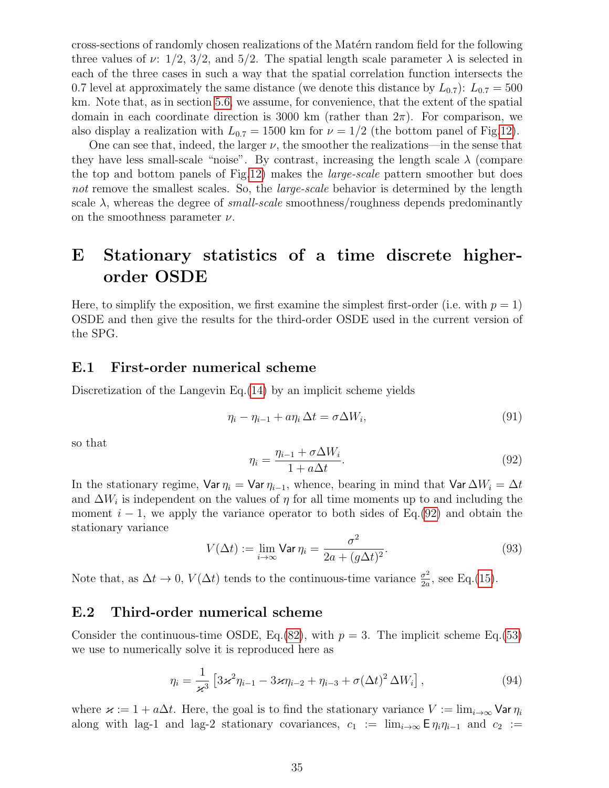cross-sections of randomly chosen realizations of the Mat´ern random field for the following three values of  $\nu: 1/2, 3/2,$  and  $5/2$ . The spatial length scale parameter  $\lambda$  is selected in each of the three cases in such a way that the spatial correlation function intersects the 0.7 level at approximately the same distance (we denote this distance by  $L_{0.7}$ ):  $L_{0.7} = 500$ km. Note that, as in section [5.6,](#page-17-0) we assume, for convenience, that the extent of the spatial domain in each coordinate direction is 3000 km (rather than  $2\pi$ ). For comparison, we also display a realization with  $L_{0.7} = 1500$  km for  $\nu = 1/2$  (the bottom panel of Fig[.12\)](#page-35-0).

One can see that, indeed, the larger  $\nu$ , the smoother the realizations—in the sense that they have less small-scale "noise". By contrast, increasing the length scale  $\lambda$  (compare the top and bottom panels of Fig[.12\)](#page-35-0) makes the large-scale pattern smoother but does not remove the smallest scales. So, the *large-scale* behavior is determined by the length scale  $\lambda$ , whereas the degree of *small-scale* smoothness/roughness depends predominantly on the smoothness parameter  $\nu$ .

# <span id="page-34-0"></span>E Stationary statistics of a time discrete higherorder OSDE

Here, to simplify the exposition, we first examine the simplest first-order (i.e. with  $p = 1$ ) OSDE and then give the results for the third-order OSDE used in the current version of the SPG.

### <span id="page-34-1"></span>E.1 First-order numerical scheme

Discretization of the Langevin Eq.[\(14\)](#page-11-2) by an implicit scheme yields

$$
\eta_i - \eta_{i-1} + a\eta_i \Delta t = \sigma \Delta W_i,\tag{91}
$$

<span id="page-34-3"></span>so that

$$
\eta_i = \frac{\eta_{i-1} + \sigma \Delta W_i}{1 + a\Delta t}.
$$
\n(92)

In the stationary regime, Var  $\eta_i = \text{Var } \eta_{i-1}$ , whence, bearing in mind that Var  $\Delta W_i = \Delta t$ and  $\Delta W_i$  is independent on the values of  $\eta$  for all time moments up to and including the moment  $i - 1$ , we apply the variance operator to both sides of Eq.[\(92\)](#page-34-3) and obtain the stationary variance

<span id="page-34-4"></span>
$$
V(\Delta t) := \lim_{i \to \infty} \text{Var } \eta_i = \frac{\sigma^2}{2a + (g\Delta t)^2}.
$$
 (93)

Note that, as  $\Delta t \to 0$ ,  $V(\Delta t)$  tends to the continuous-time variance  $\frac{\sigma^2}{2a}$  $\frac{\sigma^2}{2a}$ , see Eq.[\(15\)](#page-11-3).

### <span id="page-34-2"></span>E.2 Third-order numerical scheme

Consider the continuous-time OSDE, Eq.[\(82\)](#page-32-2), with  $p = 3$ . The implicit scheme Eq.[\(53\)](#page-20-3) we use to numerically solve it is reproduced here as

$$
\eta_i = \frac{1}{\varkappa^3} \left[ 3\varkappa^2 \eta_{i-1} - 3\varkappa \eta_{i-2} + \eta_{i-3} + \sigma (\Delta t)^2 \Delta W_i \right],\tag{94}
$$

where  $\varkappa := 1 + a\Delta t$ . Here, the goal is to find the stationary variance  $V := \lim_{i \to \infty} \text{Var } \eta_i$ along with lag-1 and lag-2 stationary covariances,  $c_1 := \lim_{i \to \infty} E \eta_i \eta_{i-1}$  and  $c_2 :=$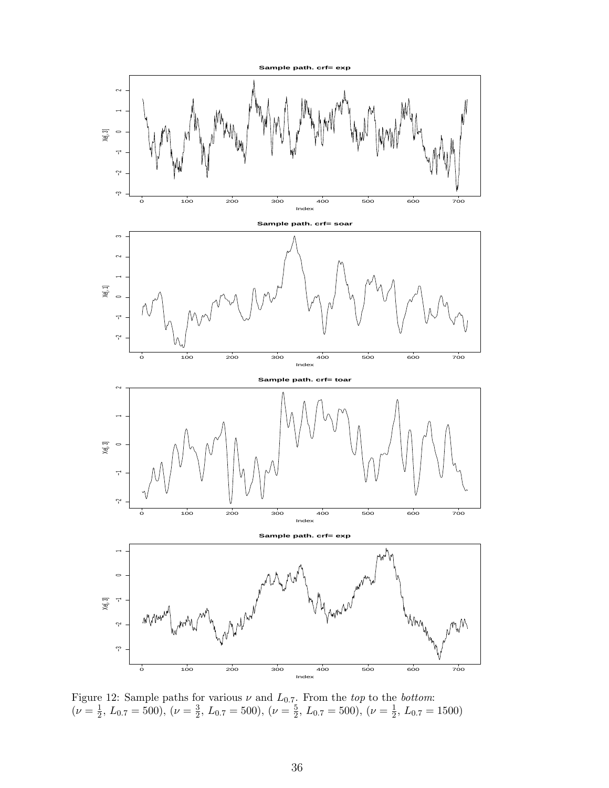<span id="page-35-0"></span>

Figure 12: Sample paths for various  $\nu$  and  $L_{0.7}$ . From the top to the bottom:  $(\nu = \frac{1}{2})$  $\frac{1}{2}$ ,  $L_{0.7} = 500$ ),  $(\nu = \frac{3}{2})$  $\frac{3}{2}$ ,  $L_{0.7} = 500$ ),  $(\nu = \frac{5}{2})$  $\frac{5}{2}$ ,  $L_{0.7} = 500$ ),  $(\nu = \frac{1}{2})$  $\frac{1}{2}$ ,  $L_{0.7} = 1500$ )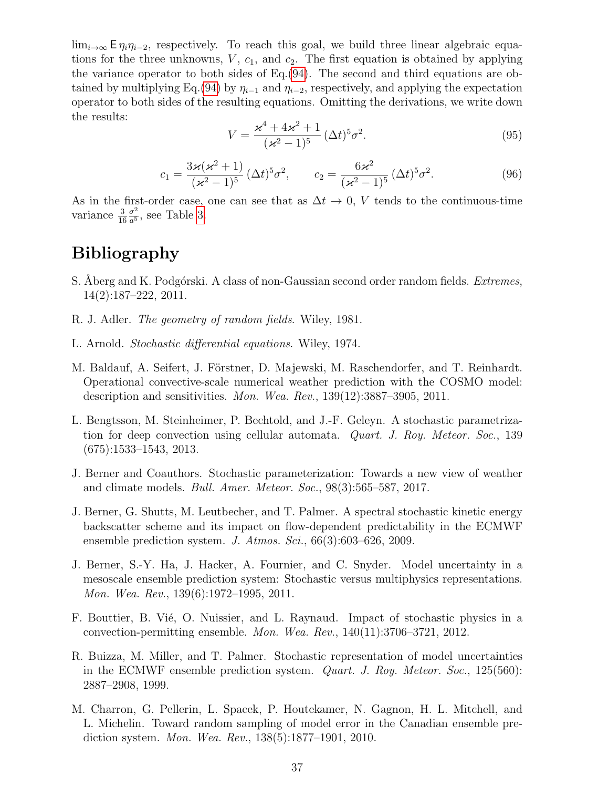$\lim_{i\to\infty} \mathsf{E} \eta_i \eta_{i-2}$ , respectively. To reach this goal, we build three linear algebraic equations for the three unknowns,  $V$ ,  $c_1$ , and  $c_2$ . The first equation is obtained by applying the variance operator to both sides of Eq.[\(94\)](#page-34-4). The second and third equations are ob-tained by multiplying Eq.[\(94\)](#page-34-4) by  $\eta_{i-1}$  and  $\eta_{i-2}$ , respectively, and applying the expectation operator to both sides of the resulting equations. Omitting the derivations, we write down the results:

$$
V = \frac{\varkappa^4 + 4\varkappa^2 + 1}{(\varkappa^2 - 1)^5} (\Delta t)^5 \sigma^2.
$$
 (95)

<span id="page-36-11"></span>
$$
c_1 = \frac{3\varkappa(\varkappa^2 + 1)}{(\varkappa^2 - 1)^5} (\Delta t)^5 \sigma^2, \qquad c_2 = \frac{6\varkappa^2}{(\varkappa^2 - 1)^5} (\Delta t)^5 \sigma^2.
$$
 (96)

<span id="page-36-12"></span>As in the first-order case, one can see that as  $\Delta t \to 0$ , V tends to the continuous-time variance  $\frac{3}{16}$  $\sigma^2$  $\frac{\sigma^2}{a^5}$ , see Table [3.](#page-33-1)

# <span id="page-36-0"></span>Bibliography

- <span id="page-36-9"></span>S. Aberg and K. Podgórski. A class of non-Gaussian second order random fields. *Extremes*, 14(2):187–222, 2011.
- <span id="page-36-10"></span>R. J. Adler. The geometry of random fields. Wiley, 1981.
- <span id="page-36-5"></span>L. Arnold. Stochastic differential equations. Wiley, 1974.
- <span id="page-36-13"></span>M. Baldauf, A. Seifert, J. Förstner, D. Majewski, M. Raschendorfer, and T. Reinhardt. Operational convective-scale numerical weather prediction with the COSMO model: description and sensitivities. Mon. Wea. Rev., 139(12):3887–3905, 2011.
- <span id="page-36-4"></span>L. Bengtsson, M. Steinheimer, P. Bechtold, and J.-F. Geleyn. A stochastic parametrization for deep convection using cellular automata. Quart. J. Roy. Meteor. Soc., 139 (675):1533–1543, 2013.
- <span id="page-36-1"></span>J. Berner and Coauthors. Stochastic parameterization: Towards a new view of weather and climate models. Bull. Amer. Meteor. Soc., 98(3):565–587, 2017.
- <span id="page-36-6"></span>J. Berner, G. Shutts, M. Leutbecher, and T. Palmer. A spectral stochastic kinetic energy backscatter scheme and its impact on flow-dependent predictability in the ECMWF ensemble prediction system. J. Atmos. Sci., 66(3):603–626, 2009.
- <span id="page-36-2"></span>J. Berner, S.-Y. Ha, J. Hacker, A. Fournier, and C. Snyder. Model uncertainty in a mesoscale ensemble prediction system: Stochastic versus multiphysics representations. Mon. Wea. Rev., 139(6):1972–1995, 2011.
- <span id="page-36-8"></span>F. Bouttier, B. Vié, O. Nuissier, and L. Raynaud. Impact of stochastic physics in a convection-permitting ensemble. Mon. Wea. Rev., 140(11):3706–3721, 2012.
- <span id="page-36-3"></span>R. Buizza, M. Miller, and T. Palmer. Stochastic representation of model uncertainties in the ECMWF ensemble prediction system. Quart. J. Roy. Meteor. Soc., 125(560): 2887–2908, 1999.
- <span id="page-36-7"></span>M. Charron, G. Pellerin, L. Spacek, P. Houtekamer, N. Gagnon, H. L. Mitchell, and L. Michelin. Toward random sampling of model error in the Canadian ensemble prediction system. Mon. Wea. Rev., 138(5):1877–1901, 2010.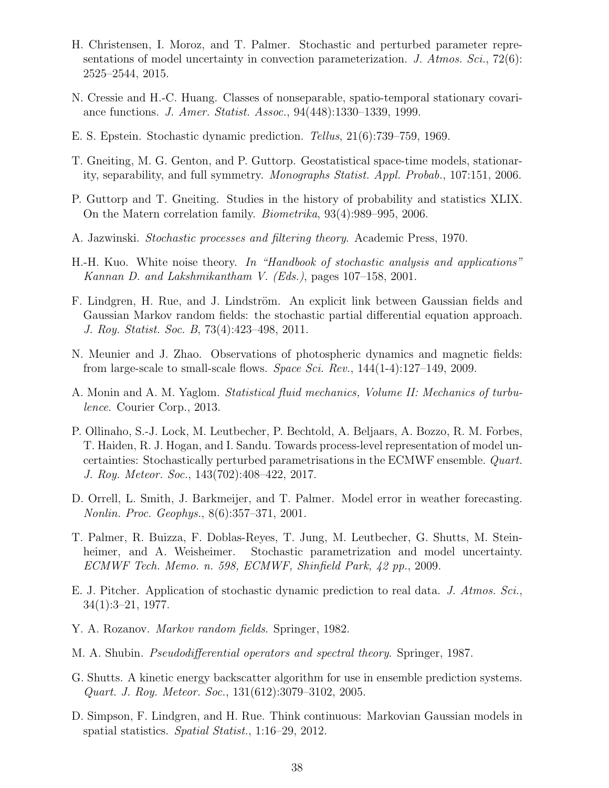- <span id="page-37-4"></span>H. Christensen, I. Moroz, and T. Palmer. Stochastic and perturbed parameter representations of model uncertainty in convection parameterization. J. Atmos. Sci.,  $72(6)$ : 2525–2544, 2015.
- <span id="page-37-8"></span>N. Cressie and H.-C. Huang. Classes of nonseparable, spatio-temporal stationary covariance functions. J. Amer. Statist. Assoc., 94(448):1330–1339, 1999.
- <span id="page-37-0"></span>E. S. Epstein. Stochastic dynamic prediction. Tellus, 21(6):739–759, 1969.
- <span id="page-37-9"></span>T. Gneiting, M. G. Genton, and P. Guttorp. Geostatistical space-time models, stationarity, separability, and full symmetry. Monographs Statist. Appl. Probab., 107:151, 2006.
- <span id="page-37-13"></span>P. Guttorp and T. Gneiting. Studies in the history of probability and statistics XLIX. On the Matern correlation family. Biometrika, 93(4):989–995, 2006.
- <span id="page-37-6"></span>A. Jazwinski. Stochastic processes and filtering theory. Academic Press, 1970.
- <span id="page-37-16"></span>H.-H. Kuo. White noise theory. In "Handbook of stochastic analysis and applications" Kannan D. and Lakshmikantham V. (Eds.), pages 107–158, 2001.
- <span id="page-37-11"></span>F. Lindgren, H. Rue, and J. Lindström. An explicit link between Gaussian fields and Gaussian Markov random fields: the stochastic partial differential equation approach. J. Roy. Statist. Soc. B, 73(4):423–498, 2011.
- <span id="page-37-7"></span>N. Meunier and J. Zhao. Observations of photospheric dynamics and magnetic fields: from large-scale to small-scale flows. Space Sci. Rev.,  $144(1-4):127-149$ , 2009.
- <span id="page-37-14"></span>A. Monin and A. M. Yaglom. Statistical fluid mechanics, Volume II: Mechanics of turbulence. Courier Corp., 2013.
- <span id="page-37-5"></span>P. Ollinaho, S.-J. Lock, M. Leutbecher, P. Bechtold, A. Beljaars, A. Bozzo, R. M. Forbes, T. Haiden, R. J. Hogan, and I. Sandu. Towards process-level representation of model uncertainties: Stochastically perturbed parametrisations in the ECMWF ensemble. Quart. J. Roy. Meteor. Soc., 143(702):408–422, 2017.
- <span id="page-37-2"></span>D. Orrell, L. Smith, J. Barkmeijer, and T. Palmer. Model error in weather forecasting. Nonlin. Proc. Geophys., 8(6):357–371, 2001.
- <span id="page-37-10"></span>T. Palmer, R. Buizza, F. Doblas-Reyes, T. Jung, M. Leutbecher, G. Shutts, M. Steinheimer, and A. Weisheimer. Stochastic parametrization and model uncertainty. ECMWF Tech. Memo. n. 598, ECMWF, Shinfield Park, 42 pp., 2009.
- <span id="page-37-1"></span>E. J. Pitcher. Application of stochastic dynamic prediction to real data. J. Atmos. Sci., 34(1):3–21, 1977.
- <span id="page-37-15"></span>Y. A. Rozanov. Markov random fields. Springer, 1982.
- <span id="page-37-12"></span>M. A. Shubin. Pseudodifferential operators and spectral theory. Springer, 1987.
- <span id="page-37-3"></span>G. Shutts. A kinetic energy backscatter algorithm for use in ensemble prediction systems. Quart. J. Roy. Meteor. Soc., 131(612):3079–3102, 2005.
- <span id="page-37-17"></span>D. Simpson, F. Lindgren, and H. Rue. Think continuous: Markovian Gaussian models in spatial statistics. Spatial Statist., 1:16–29, 2012.